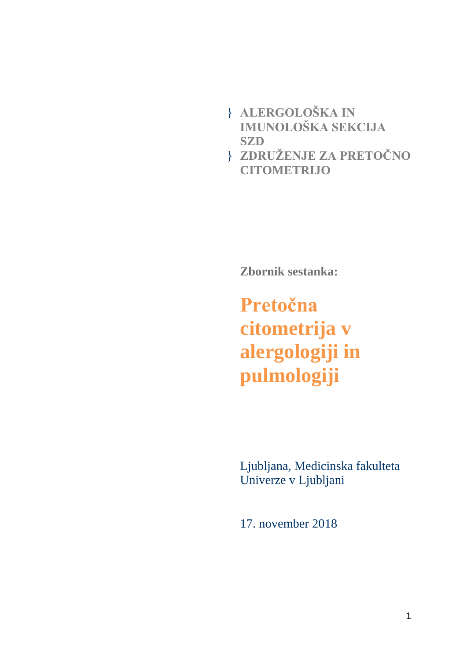- } **ALERGOLOŠKA IN IMUNOLOŠKA SEKCIJA SZD**
- } **ZDRUŽENJE ZA PRETOČNO CITOMETRIJO**

**Zbornik sestanka:**

**Pretočna citometrija v alergologiji in pulmologiji** 

Ljubljana, Medicinska fakulteta Univerze v Ljubljani

17. november 2018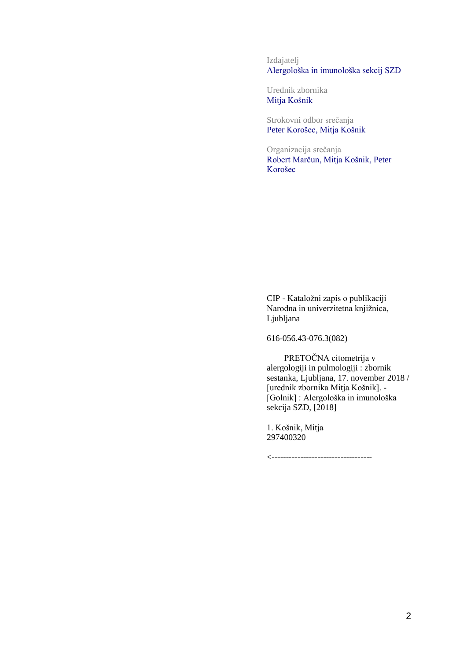Izdajatelj Alergološka in imunološka sekcij SZD

Urednik zbornika Mitja Košnik

Strokovni odbor srečanja Peter Korošec, Mitja Košnik

Organizacija srečanja Robert Marčun, Mitja Košnik, Peter Korošec

CIP - Kataložni zapis o publikaciji Narodna in univerzitetna knjižnica, Ljubljana

616-056.43-076.3(082)

PRETOČNA citometrija v alergologiji in pulmologiji : zbornik sestanka, Ljubljana, 17. november 2018 / [urednik zbornika Mitja Košnik]. - [Golnik] : Alergološka in imunološka sekcija SZD, [2018]

1. Košnik, Mitja 297400320

<-----------------------------------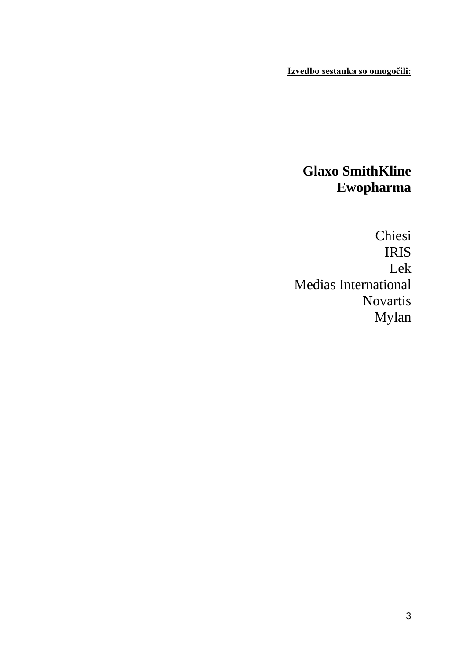**Izvedbo sestanka so omogočili:**

# **Glaxo SmithKline Ewopharma**

Chiesi IRIS Lek Medias International Novartis Mylan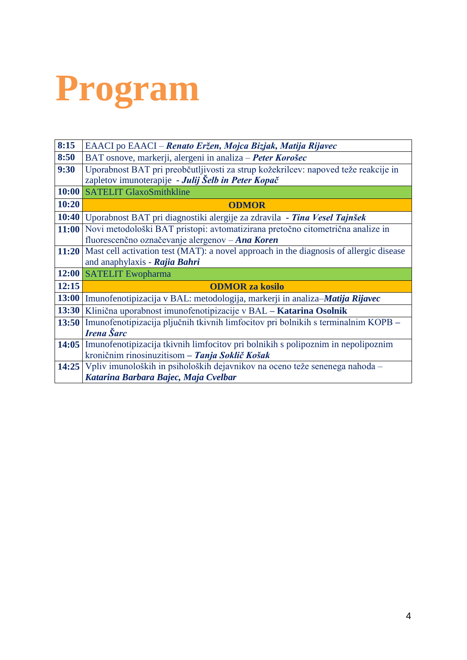# **Program**

| 8:15  | EAACI po EAACI – Renato Eržen, Mojca Bizjak, Matija Rijavec                                  |  |  |
|-------|----------------------------------------------------------------------------------------------|--|--|
| 8:50  | BAT osnove, markerji, alergeni in analiza - Peter Korošec                                    |  |  |
| 9:30  | Uporabnost BAT pri preobčutljivosti za strup kožekrilcev: napoved teže reakcije in           |  |  |
|       | zapletov imunoterapije - Julij Šelb in Peter Kopač                                           |  |  |
|       | 10:00 SATELIT GlaxoSmithkline                                                                |  |  |
| 10:20 | <b>ODMOR</b>                                                                                 |  |  |
| 10:40 | Uporabnost BAT pri diagnostiki alergije za zdravila - Tina Vesel Tajnšek                     |  |  |
| 11:00 | Novi metodološki BAT pristopi: avtomatizirana pretočno citometrična analize in               |  |  |
|       | fluorescenčno označevanje alergenov - Ana Koren                                              |  |  |
|       | 11:20 Mast cell activation test (MAT): a novel approach in the diagnosis of allergic disease |  |  |
|       | and anaphylaxis - Rajia Bahri                                                                |  |  |
|       | 12:00 SATELIT Ewopharma                                                                      |  |  |
| 12:15 | <b>ODMOR</b> za kosilo                                                                       |  |  |
| 13:00 | Imunofenotipizacija v BAL: metodologija, markerji in analiza– <b>Matija Rijavec</b>          |  |  |
| 13:30 | Klinična uporabnost imunofenotipizacije v BAL - Katarina Osolnik                             |  |  |
| 13:50 | Imunofenotipizacija pljučnih tkivnih limfocitov pri bolnikih s terminalnim KOPB –            |  |  |
|       | Irena Šarc                                                                                   |  |  |
|       | 14:05 Imunofenotipizacija tkivnih limfocitov pri bolnikih s polipoznim in nepolipoznim       |  |  |
|       | kroničnim rinosinuzitisom - Tanja Soklič Košak                                               |  |  |
|       | 14:25 Vpliv imunoloških in psiholoških dejavnikov na oceno teže senenega nahoda –            |  |  |
|       | Katarina Barbara Bajec, Maja Cvelbar                                                         |  |  |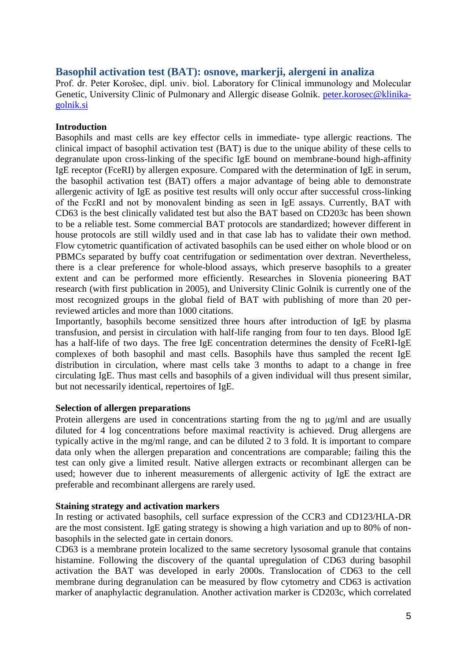#### **Basophil activation test (BAT): osnove, markerji, alergeni in analiza**

Prof. dr. Peter Korošec, dipl. univ. biol. Laboratory for Clinical immunology and Molecular Genetic, University Clinic of Pulmonary and Allergic disease Golnik. [peter.korosec@klinika](mailto:peter.korosec@klinika-golnik.si)[golnik.si](mailto:peter.korosec@klinika-golnik.si)

#### **Introduction**

Basophils and mast cells are key effector cells in immediate- type allergic reactions. The clinical impact of basophil activation test (BAT) is due to the unique ability of these cells to degranulate upon cross-linking of the specific IgE bound on membrane-bound high-affinity IgE receptor (FceRI) by allergen exposure. Compared with the determination of IgE in serum, the basophil activation test (BAT) offers a major advantage of being able to demonstrate allergenic activity of IgE as positive test results will only occur after successful cross-linking of the FcεRI and not by monovalent binding as seen in IgE assays. Currently, BAT with CD63 is the best clinically validated test but also the BAT based on CD203c has been shown to be a reliable test. Some commercial BAT protocols are standardized; however different in house protocols are still wildly used and in that case lab has to validate their own method. Flow cytometric quantification of activated basophils can be used either on whole blood or on PBMCs separated by buffy coat centrifugation or sedimentation over dextran. Nevertheless, there is a clear preference for whole-blood assays, which preserve basophils to a greater extent and can be performed more efficiently. Researches in Slovenia pioneering BAT research (with first publication in 2005), and University Clinic Golnik is currently one of the most recognized groups in the global field of BAT with publishing of more than 20 perreviewed articles and more than 1000 citations.

Importantly, basophils become sensitized three hours after introduction of IgE by plasma transfusion, and persist in circulation with half-life ranging from four to ten days. Blood IgE has a half-life of two days. The free IgE concentration determines the density of FceRI-IgE complexes of both basophil and mast cells. Basophils have thus sampled the recent IgE distribution in circulation, where mast cells take 3 months to adapt to a change in free circulating IgE. Thus mast cells and basophils of a given individual will thus present similar, but not necessarily identical, repertoires of IgE.

#### **Selection of allergen preparations**

Protein allergens are used in concentrations starting from the ng to  $\mu$ g/ml and are usually diluted for 4 log concentrations before maximal reactivity is achieved. Drug allergens are typically active in the mg/ml range, and can be diluted 2 to 3 fold. It is important to compare data only when the allergen preparation and concentrations are comparable; failing this the test can only give a limited result. Native allergen extracts or recombinant allergen can be used; however due to inherent measurements of allergenic activity of IgE the extract are preferable and recombinant allergens are rarely used.

#### **Staining strategy and activation markers**

In resting or activated basophils, cell surface expression of the CCR3 and CD123/HLA-DR are the most consistent. IgE gating strategy is showing a high variation and up to 80% of nonbasophils in the selected gate in certain donors.

CD63 is a membrane protein localized to the same secretory lysosomal granule that contains histamine. Following the discovery of the quantal upregulation of CD63 during basophil activation the BAT was developed in early 2000s. Translocation of CD63 to the cell membrane during degranulation can be measured by flow cytometry and CD63 is activation marker of anaphylactic degranulation. Another activation marker is CD203c, which correlated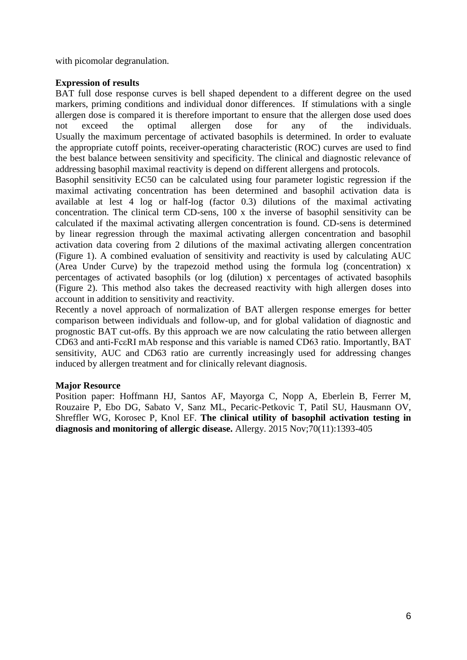with picomolar degranulation.

#### **Expression of results**

BAT full dose response curves is bell shaped dependent to a different degree on the used markers, priming conditions and individual donor differences. If stimulations with a single allergen dose is compared it is therefore important to ensure that the allergen dose used does not exceed the optimal allergen dose for any of the individuals. not exceed the optimal allergen dose for any of the individuals. Usually the maximum percentage of activated basophils is determined. In order to evaluate the appropriate cutoff points, receiver-operating characteristic (ROC) curves are used to find the best balance between sensitivity and specificity. The clinical and diagnostic relevance of addressing basophil maximal reactivity is depend on different allergens and protocols.

Basophil sensitivity EC50 can be calculated using four parameter logistic regression if the maximal activating concentration has been determined and basophil activation data is available at lest 4 log or half-log (factor 0.3) dilutions of the maximal activating concentration. The clinical term CD-sens, 100 x the inverse of basophil sensitivity can be calculated if the maximal activating allergen concentration is found. CD-sens is determined by linear regression through the maximal activating allergen concentration and basophil activation data covering from 2 dilutions of the maximal activating allergen concentration (Figure 1). A combined evaluation of sensitivity and reactivity is used by calculating AUC (Area Under Curve) by the trapezoid method using the formula log (concentration) x percentages of activated basophils (or log (dilution) x percentages of activated basophils (Figure 2). This method also takes the decreased reactivity with high allergen doses into account in addition to sensitivity and reactivity.

Recently a novel approach of normalization of BAT allergen response emerges for better comparison between individuals and follow-up, and for global validation of diagnostic and prognostic BAT cut-offs. By this approach we are now calculating the ratio between allergen CD63 and anti-FcεRI mAb response and this variable is named CD63 ratio. Importantly, BAT sensitivity, AUC and CD63 ratio are currently increasingly used for addressing changes induced by allergen treatment and for clinically relevant diagnosis.

#### **Major Resource**

Position paper: Hoffmann HJ, Santos AF, Mayorga C, Nopp A, Eberlein B, Ferrer M, Rouzaire P, Ebo DG, Sabato V, Sanz ML, Pecaric-Petkovic T, Patil SU, Hausmann OV, Shreffler WG, Korosec P, Knol EF. **The clinical utility of basophil activation testing in diagnosis and monitoring of allergic disease.** Allergy. 2015 Nov;70(11):1393-405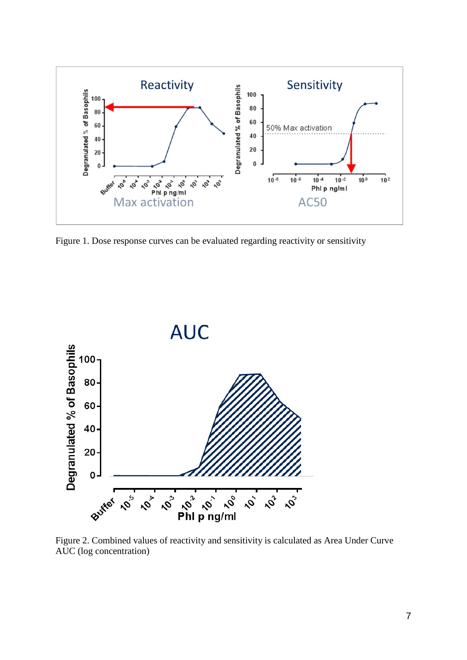

Figure 1. Dose response curves can be evaluated regarding reactivity or sensitivity



Figure 2. Combined values of reactivity and sensitivity is calculated as Area Under Curve AUC (log concentration)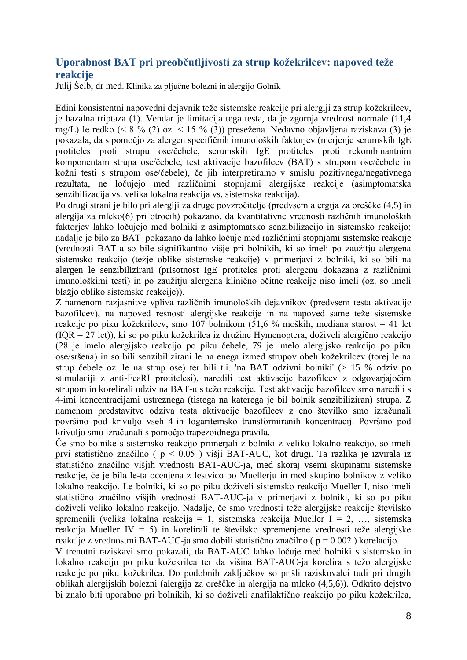# **Uporabnost BAT pri preobčutljivosti za strup kožekrilcev: napoved teže reakcije**

Julij Šelb, dr med. Klinika za pljučne bolezni in alergijo Golnik

Edini konsistentni napovedni dejavnik teže sistemske reakcije pri alergiji za strup kožekrilcev, je bazalna triptaza (1). Vendar je limitacija tega testa, da je zgornja vrednost normale (11,4 mg/L) le redko (< 8 % (2) oz. < 15 % (3)) presežena. Nedavno objavljena raziskava (3) je pokazala, da s pomočjo za alergen specifičnih imunoloških faktorjev (merjenje serumskih IgE protiteles proti strupu ose/čebele, serumskih IgE protiteles proti rekombinantnim komponentam strupa ose/čebele, test aktivacije bazofilcev (BAT) s strupom ose/čebele in kožni testi s strupom ose/čebele), če jih interpretiramo v smislu pozitivnega/negativnega rezultata, ne ločujejo med različnimi stopnjami alergijske reakcije (asimptomatska senzibilizacija vs. velika lokalna reakcija vs. sistemska reakcija).

Po drugi strani je bilo pri alergiji za druge povzročitelje (predvsem alergija za oreščke (4,5) in alergija za mleko(6) pri otrocih) pokazano, da kvantitativne vrednosti različnih imunoloških faktorjev lahko ločujejo med bolniki z asimptomatsko senzibilizacijo in sistemsko reakcijo; nadalje je bilo za BAT pokazano da lahko ločuje med različnimi stopnjami sistemske reakcije (vrednosti BAT-a so bile signifikantno višje pri bolnikih, ki so imeli po zaužitju alergena sistemsko reakcijo (težje oblike sistemske reakcije) v primerjavi z bolniki, ki so bili na alergen le senzibilizirani (prisotnost IgE protiteles proti alergenu dokazana z različnimi imunološkimi testi) in po zaužitju alergena klinično očitne reakcije niso imeli (oz. so imeli blažjo obliko sistemske reakcije)).

Z namenom razjasnitve vpliva različnih imunoloških dejavnikov (predvsem testa aktivacije bazofilcev), na napoved resnosti alergijske reakcije in na napoved same teže sistemske reakcije po piku kožekrilcev, smo 107 bolnikom (51,6 % moških, mediana starost = 41 let (IQR = 27 let)), ki so po piku kožekrilca iz družine Hymenoptera, doživeli alergično reakcijo (28 je imelo alergijsko reakcijo po piku čebele, 79 je imelo alergijsko reakcijo po piku ose/sršena) in so bili senzibilizirani le na enega izmed strupov obeh kožekrilcev (torej le na strup čebele oz. le na strup ose) ter bili t.i. 'na BAT odzivni bolniki' (> 15 % odziv po stimulaciji z anti-FcεRI protitelesi), naredili test aktivacije bazofilcev z odgovarjajočim strupom in korelirali odziv na BAT-u s težo reakcije. Test aktivacije bazofilcev smo naredili s 4-imi koncentracijami ustreznega (tistega na katerega je bil bolnik senzibiliziran) strupa. Z namenom predstavitve odziva testa aktivacije bazofilcev z eno številko smo izračunali površino pod krivuljo vseh 4-ih logaritemsko transformiranih koncentracij. Površino pod krivuljo smo izračunali s pomočjo trapezoidnega pravila.

Če smo bolnike s sistemsko reakcijo primerjali z bolniki z veliko lokalno reakcijo, so imeli prvi statistično značilno ( p < 0.05 ) višji BAT-AUC, kot drugi. Ta razlika je izvirala iz statistično značilno višjih vrednosti BAT-AUC-ja, med skoraj vsemi skupinami sistemske reakcije, če je bila le-ta ocenjena z lestvico po Muellerju in med skupino bolnikov z veliko lokalno reakcijo. Le bolniki, ki so po piku doživeli sistemsko reakcijo Mueller I, niso imeli statistično značilno višjih vrednosti BAT-AUC-ja v primerjavi z bolniki, ki so po piku doživeli veliko lokalno reakcijo. Nadalje, če smo vrednosti teže alergijske reakcije številsko spremenili (velika lokalna reakcija = 1, sistemska reakcija Mueller I = 2, ..., sistemska reakcija Mueller IV = 5) in korelirali te številsko spremenjene vrednosti teže alergijske reakcije z vrednostmi BAT-AUC-ja smo dobili statistično značilno ( $p = 0.002$ ) korelacijo.

V trenutni raziskavi smo pokazali, da BAT-AUC lahko ločuje med bolniki s sistemsko in lokalno reakcijo po piku kožekrilca ter da višina BAT-AUC-ja korelira s težo alergijske reakcije po piku kožekrilca. Do podobnih zaključkov so prišli raziskovalci tudi pri drugih oblikah alergijskih bolezni (alergija za oreščke in alergija na mleko (4,5,6)). Odkrito dejstvo bi znalo biti uporabno pri bolnikih, ki so doživeli anafilaktično reakcijo po piku kožekrilca,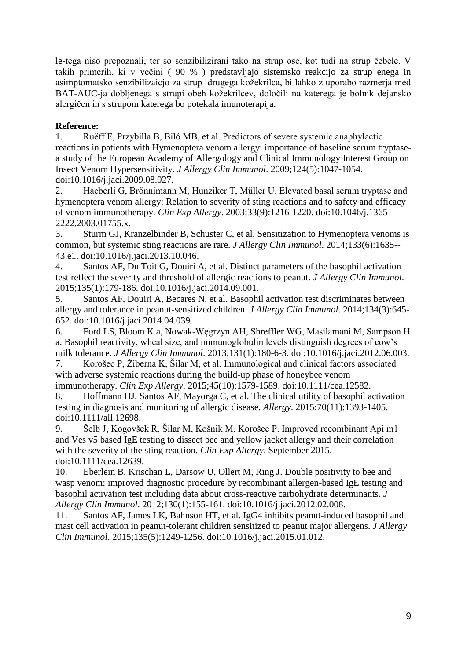le-tega niso prepoznali, ter so senzibilizirani tako na strup ose, kot tudi na strup čebele. V takih primerih, ki v večini ( 90 % ) predstavljajo sistemsko reakcijo za strup enega in asimptomatsko senzibilizaicjo za strup drugega kožekrilca, bi lahko z uporabo razmerja med BAT-AUC-ja dobljenega s strupi obeh kožekrilcev, določili na katerega je bolnik dejansko alergičen in s strupom katerega bo potekala imunoterapija.

#### **Reference:**

1. Ruëff F, Przybilla B, Biló MB, et al. Predictors of severe systemic anaphylactic reactions in patients with Hymenoptera venom allergy: importance of baseline serum tryptasea study of the European Academy of Allergology and Clinical Immunology Interest Group on Insect Venom Hypersensitivity. *J Allergy Clin Immunol*. 2009;124(5):1047-1054. doi:10.1016/j.jaci.2009.08.027.

2. Haeberli G, Brönnimann M, Hunziker T, Müller U. Elevated basal serum tryptase and hymenoptera venom allergy: Relation to severity of sting reactions and to safety and efficacy of venom immunotherapy. *Clin Exp Allergy*. 2003;33(9):1216-1220. doi:10.1046/j.1365- 2222.2003.01755.x.

3. Sturm GJ, Kranzelbinder B, Schuster C, et al. Sensitization to Hymenoptera venoms is common, but systemic sting reactions are rare. *J Allergy Clin Immunol*. 2014;133(6):1635-- 43.e1. doi:10.1016/j.jaci.2013.10.046.

4. Santos AF, Du Toit G, Douiri A, et al. Distinct parameters of the basophil activation test reflect the severity and threshold of allergic reactions to peanut. *J Allergy Clin Immunol*. 2015;135(1):179-186. doi:10.1016/j.jaci.2014.09.001.

5. Santos AF, Douiri A, Becares N, et al. Basophil activation test discriminates between allergy and tolerance in peanut-sensitized children. *J Allergy Clin Immunol*. 2014;134(3):645- 652. doi:10.1016/j.jaci.2014.04.039.

6. Ford LS, Bloom K a, Nowak-Węgrzyn AH, Shreffler WG, Masilamani M, Sampson H a. Basophil reactivity, wheal size, and immunoglobulin levels distinguish degrees of cow's milk tolerance. *J Allergy Clin Immunol*. 2013;131(1):180-6-3. doi:10.1016/j.jaci.2012.06.003.

7. Korošec P, Žiberna K, Šilar M, et al. Immunological and clinical factors associated with adverse systemic reactions during the build-up phase of honeybee venom immunotherapy. *Clin Exp Allergy*. 2015;45(10):1579-1589. doi:10.1111/cea.12582.

8. Hoffmann HJ, Santos AF, Mayorga C, et al. The clinical utility of basophil activation testing in diagnosis and monitoring of allergic disease. *Allergy*. 2015;70(11):1393-1405. doi:10.1111/all.12698.

9. Šelb J, Kogovšek R, Šilar M, Košnik M, Korošec P. Improved recombinant Api m1 and Ves v5 based IgE testing to dissect bee and yellow jacket allergy and their correlation with the severity of the sting reaction. *Clin Exp Allergy*. September 2015. doi:10.1111/cea.12639.

10. Eberlein B, Krischan L, Darsow U, Ollert M, Ring J. Double positivity to bee and wasp venom: improved diagnostic procedure by recombinant allergen-based IgE testing and basophil activation test including data about cross-reactive carbohydrate determinants. *J Allergy Clin Immunol*. 2012;130(1):155-161. doi:10.1016/j.jaci.2012.02.008.

11. Santos AF, James LK, Bahnson HT, et al. IgG4 inhibits peanut-induced basophil and mast cell activation in peanut-tolerant children sensitized to peanut major allergens. *J Allergy Clin Immunol*. 2015;135(5):1249-1256. doi:10.1016/j.jaci.2015.01.012.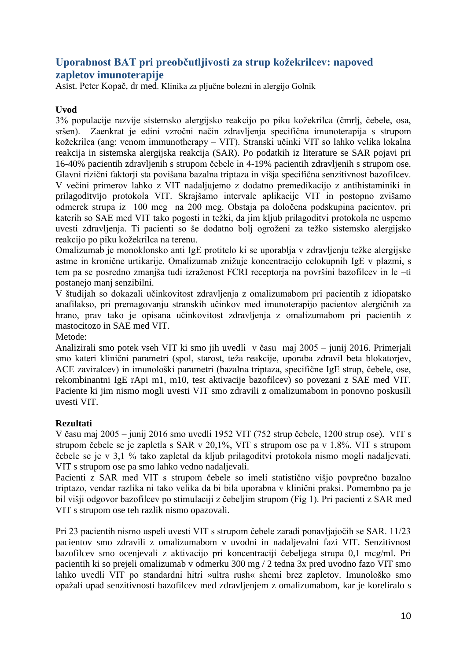# **Uporabnost BAT pri preobčutljivosti za strup kožekrilcev: napoved zapletov imunoterapije**

Asist. Peter Kopač, dr med. Klinika za pljučne bolezni in alergijo Golnik

#### **Uvod**

3% populacije razvije sistemsko alergijsko reakcijo po piku kožekrilca (čmrlj, čebele, osa, sršen). Zaenkrat je edini vzročni način zdravljenja specifična imunoterapija s strupom kožekrilca (ang: venom immunotherapy – VIT). Stranski učinki VIT so lahko velika lokalna reakcija in sistemska alergijska reakcija (SAR). Po podatkih iz literature se SAR pojavi pri 16-40% pacientih zdravljenih s strupom čebele in 4-19% pacientih zdravljenih s strupom ose. Glavni rizični faktorji sta povišana bazalna triptaza in višja specifična senzitivnost bazofilcev. V večini primerov lahko z VIT nadaljujemo z dodatno premedikacijo z antihistaminiki in prilagoditvijo protokola VIT. Skrajšamo intervale aplikacije VIT in postopno zvišamo odmerek strupa iz 100 mcg na 200 mcg. Obstaja pa določena podskupina pacientov, pri katerih so SAE med VIT tako pogosti in težki, da jim kljub prilagoditvi protokola ne uspemo uvesti zdravljenja. Ti pacienti so še dodatno bolj ogroženi za težko sistemsko alergijsko reakcijo po piku kožekrilca na terenu.

Omalizumab je monoklonsko anti IgE protitelo ki se uporablja v zdravljenju težke alergijske astme in kronične urtikarije. Omalizumab znižuje koncentracijo celokupnih IgE v plazmi, s tem pa se posredno zmanjša tudi izraženost FCRI receptorja na površini bazofilcev in le –ti postanejo manj senzibilni.

V študijah so dokazali učinkovitost zdravljenja z omalizumabom pri pacientih z idiopatsko anafilakso, pri premagovanju stranskih učinkov med imunoterapijo pacientov alergičnih za hrano, prav tako je opisana učinkovitost zdravljenja z omalizumabom pri pacientih z mastocitozo in SAE med VIT.

Metode:

Analizirali smo potek vseh VIT ki smo jih uvedli v času maj 2005 – junij 2016. Primerjali smo kateri klinični parametri (spol, starost, teža reakcije, uporaba zdravil beta blokatorjev, ACE zaviralcev) in imunološki parametri (bazalna triptaza, specifične IgE strup, čebele, ose, rekombinantni IgE rApi m1, m10, test aktivacije bazofilcev) so povezani z SAE med VIT. Paciente ki jim nismo mogli uvesti VIT smo zdravili z omalizumabom in ponovno poskusili uvesti VIT.

#### **Rezultati**

V času maj 2005 – junij 2016 smo uvedli 1952 VIT (752 strup čebele, 1200 strup ose). VIT s strupom čebele se je zapletla s SAR v 20,1%, VIT s strupom ose pa v 1,8%. VIT s strupom čebele se je v 3,1 % tako zapletal da kljub prilagoditvi protokola nismo mogli nadaljevati, VIT s strupom ose pa smo lahko vedno nadaljevali.

Pacienti z SAR med VIT s strupom čebele so imeli statistično višjo povprečno bazalno triptazo, vendar razlika ni tako velika da bi bila uporabna v klinični praksi. Pomembno pa je bil višji odgovor bazofilcev po stimulaciji z čebeljim strupom (Fig 1). Pri pacienti z SAR med VIT s strupom ose teh razlik nismo opazovali.

Pri 23 pacientih nismo uspeli uvesti VIT s strupom čebele zaradi ponavljajočih se SAR. 11/23 pacientov smo zdravili z omalizumabom v uvodni in nadaljevalni fazi VIT. Senzitivnost bazofilcev smo ocenjevali z aktivacijo pri koncentraciji čebeljega strupa 0,1 mcg/ml. Pri pacientih ki so prejeli omalizumab v odmerku 300 mg / 2 tedna 3x pred uvodno fazo VIT smo lahko uvedli VIT po standardni hitri »ultra rush« shemi brez zapletov. Imunološko smo opažali upad senzitivnosti bazofilcev med zdravljenjem z omalizumabom, kar je koreliralo s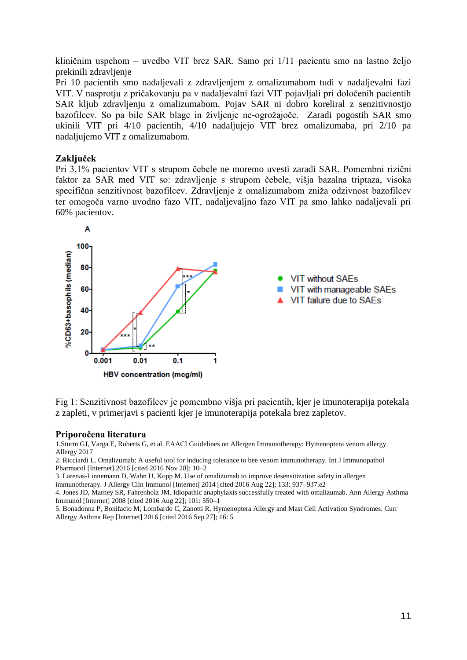kliničnim uspehom – uvedbo VIT brez SAR. Samo pri 1/11 pacientu smo na lastno željo prekinili zdravljenje

Pri 10 pacientih smo nadaljevali z zdravljenjem z omalizumabom tudi v nadaljevalni fazi VIT. V nasprotju z pričakovanju pa v nadaljevalni fazi VIT pojavljali pri določenih pacientih SAR kljub zdravljenju z omalizumabom. Pojav SAR ni dobro koreliral z senzitivnostjo bazofilcev. So pa bile SAR blage in življenje ne-ogrožajoče. Zaradi pogostih SAR smo ukinili VIT pri 4/10 pacientih, 4/10 nadaljujejo VIT brez omalizumaba, pri 2/10 pa nadaljujemo VIT z omalizumabom.

#### **Zaključek**

Pri 3,1% pacientov VIT s strupom čebele ne moremo uvesti zaradi SAR. Pomembni rizični faktor za SAR med VIT so: zdravljenje s strupom čebele, višja bazalna triptaza, visoka specifična senzitivnost bazofilcev. Zdravljenje z omalizumabom zniža odzivnost bazofilcev ter omogoča varno uvodno fazo VIT, nadaljevaljno fazo VIT pa smo lahko nadaljevali pri 60% pacientov.



Fig 1: Senzitivnost bazofilcev je pomembno višja pri pacientih, kjer je imunoterapija potekala z zapleti, v primerjavi s pacienti kjer je imunoterapija potekala brez zapletov.

#### **Priporočena literatura**

1.Sturm GJ, Varga E, Roberts G, et al. EAACI Guidelines on Allergen Immunotherapy: Hymenoptera venom allergy. Allergy 2017

2. Ricciardi L. Omalizumab: A useful tool for inducing tolerance to bee venom immunotherapy. Int J Immunopathol Pharmacol [Internet] 2016 [cited 2016 Nov 28]; 10–2

3. Larenas-Linnemann D, Wahn U, Kopp M. Use of omalizumab to improve desensitization safety in allergen immunotherapy. J Allergy Clin Immunol [Internet] 2014 [cited 2016 Aug 22]; 133: 937–937.e2

4. Jones JD, Marney SR, Fahrenholz JM. Idiopathic anaphylaxis successfully treated with omalizumab. Ann Allergy Asthma Immunol [Internet] 2008 [cited 2016 Aug 22]; 101: 550–1

5. Bonadonna P, Bonifacio M, Lombardo C, Zanotti R. Hymenoptera Allergy and Mast Cell Activation Syndromes. Curr Allergy Asthma Rep [Internet] 2016 [cited 2016 Sep 27]; 16: 5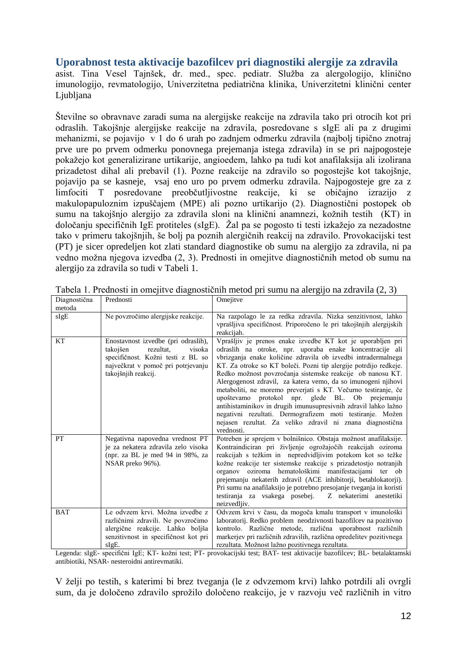# **Uporabnost testa aktivacije bazofilcev pri diagnostiki alergije za zdravila**

asist. Tina Vesel Tajnšek, dr. med., spec. pediatr. Služba za alergologijo, klinično imunologijo, revmatologijo, Univerzitetna pediatrična klinika, Univerzitetni klinični center Ljubljana

Številne so obravnave zaradi suma na alergijske reakcije na zdravila tako pri otrocih kot pri odraslih. Takojšnje alergijske reakcije na zdravila, posredovane s sIgE ali pa z drugimi mehanizmi, se pojavijo v 1 do 6 urah po zadnjem odmerku zdravila (najbolj tipično znotraj prve ure po prvem odmerku ponovnega prejemanja istega zdravila) in se pri najpogosteje pokažejo kot generalizirane urtikarije, angioedem, lahko pa tudi kot anafilaksija ali izolirana prizadetost dihal ali prebavil (1). Pozne reakcije na zdravilo so pogostejše kot takojšnje, pojavijo pa se kasneje, vsaj eno uro po prvem odmerku zdravila. Najpogosteje gre za z limfociti T posredovane preobčutljivostne reakcije, ki se običajno izrazijo z makulopapuloznim izpuščajem (MPE) ali pozno urtikarijo (2). Diagnostični postopek ob sumu na takojšnjo alergijo za zdravila sloni na klinični anamnezi, kožnih testih (KT) in določanju specifičnih IgE protiteles (sIgE). Žal pa se pogosto ti testi izkažejo za nezadostne tako v primeru takojšnjih, še bolj pa poznih alergičnih reakcij na zdravilo. Provokacijski test (PT) je sicer opredeljen kot zlati standard diagnostike ob sumu na alergijo za zdravila, ni pa vedno možna njegova izvedba (2, 3). Prednosti in omejitve diagnostičnih metod ob sumu na alergijo za zdravila so tudi v Tabeli 1.

| Diagnostična | Prednosti                            | Omejitve                                                                                                                               |
|--------------|--------------------------------------|----------------------------------------------------------------------------------------------------------------------------------------|
| metoda       |                                      |                                                                                                                                        |
| sIgE         | Ne povzročimo alergijske reakcije.   | Na razpolago le za redka zdravila. Nizka senzitivnost, lahko                                                                           |
|              |                                      | vprašljiva specifičnost. Priporočeno le pri takojšnjih alergijskih<br>reakcijah.                                                       |
| KТ           | Enostavnost izvedbe (pri odraslih),  | Vprašljiv je prenos enake izvedbe KT kot je uporabljen pri                                                                             |
|              | rezultat,<br>takojšen<br>visoka      | odraslih na otroke, npr. uporaba enake koncentracije ali                                                                               |
|              | specifičnost. Kožni testi z BL so    | vbrizganja enake količine zdravila ob izvedbi intradermalnega                                                                          |
|              | največkrat v pomoč pri potrjevanju   | KT. Za otroke so KT boleči. Pozni tip alergije potrdijo redkeje.                                                                       |
|              | takojšnjih reakcij.                  | Redko možnost povzročanja sistemske reakcije ob nanosu KT.                                                                             |
|              |                                      | Alergogenost zdravil, za katera vemo, da so imunogeni njihovi                                                                          |
|              |                                      | metaboliti, ne moremo preverjati s KT. Večurno testiranje, če                                                                          |
|              |                                      | upoštevamo protokol npr. glede BL. Ob prejemanju                                                                                       |
|              |                                      | antihistaminikov in drugih imunusupresivnih zdravil lahko lažno<br>negativni rezultati. Dermografizem moti testiranje. Možen           |
|              |                                      | nejasen rezultat. Za veliko zdravil ni znana diagnostična                                                                              |
|              |                                      | vrednosti.                                                                                                                             |
| <b>PT</b>    | Negativna napovedna vrednost PT      | Potreben je sprejem v bolnišnico. Obstaja možnost anafilaksije.                                                                        |
|              | je za nekatera zdravila zelo visoka  | Kontraindiciran pri življenje ogrožajočih reakcijah oziroma                                                                            |
|              | (npr. za BL je med 94 in 98%, za     | reakcijah s težkim in nepredvidljivim potekom kot so težke                                                                             |
|              | NSAR preko 96%).                     | kožne reakcije ter sistemske reakcije s prizadetostjo notranjih                                                                        |
|              |                                      | organov oziroma hematološkimi manifestacijami ter ob                                                                                   |
|              |                                      | prejemanju nekaterih zdravil (ACE inhibitorii, betablokatorii).<br>Pri sumu na anafilaksijo je potrebno presojanje tveganja in koristi |
|              |                                      | testiranja za vsakega posebej.<br>Z nekaterimi anestetiki                                                                              |
|              |                                      | neizvedljiv.                                                                                                                           |
| <b>BAT</b>   | Le odvzem krvi. Možna izvedbe z      | Odvzem krvi v času, da mogoča kmalu transport v imunološki                                                                             |
|              | različnimi zdravili. Ne povzročimo   | laboratorij. Redko problem neodzivnosti bazofilcev na pozitivno                                                                        |
|              | alergične reakcije. Lahko boljša     | kontrolo. Različne metode, različna uporabnost različnih                                                                               |
|              | senzitivnost in specifičnost kot pri | markerjev pri različnih zdravilih, različna opredelitev pozitivnega                                                                    |
|              | sIgE.                                | rezultata. Možnost lažno pozitivnega rezultata.                                                                                        |

Tabela 1. Prednosti in omejitve diagnostičnih metod pri sumu na alergijo na zdravila (2, 3)

Legenda: sIgE- specifični IgE; KT- kožni test; PT- provokacijski test; BAT- test aktivacije bazofilcev; BL- betalaktamski antibiotiki, NSAR- nesteroidni antirevmatiki.

V želji po testih, s katerimi bi brez tveganja (le z odvzemom krvi) lahko potrdili ali ovrgli sum, da je določeno zdravilo sprožilo določeno reakcijo, je v razvoju več različnih in vitro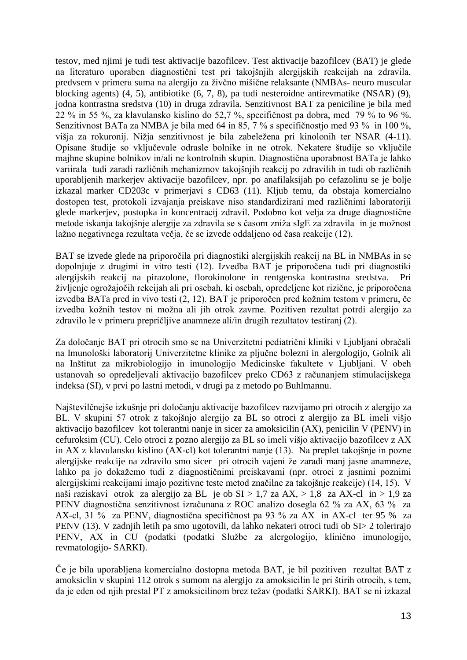testov, med njimi je tudi test aktivacije bazofilcev. Test aktivacije bazofilcev (BAT) je glede na literaturo uporaben diagnostični test pri takojšnjih alergijskih reakcijah na zdravila, predvsem v primeru suma na alergijo za živčno mišične relaksante (NMBAs- neuro muscular blocking agents) (4, 5), antibiotike (6, 7, 8), pa tudi nesteroidne antirevmatike (NSAR) (9), jodna kontrastna sredstva (10) in druga zdravila. Senzitivnost BAT za peniciline je bila med 22 % in 55 %, za klavulansko kislino do 52,7 %, specifičnost pa dobra, med 79 % to 96 %. Senzitivnost BATa za NMBA je bila med 64 in 85, 7 % s specifičnostjo med 93 % in 100 %, višja za rokuronij. Nižja senzitivnost je bila zabeležena pri kinolonih ter NSAR (4-11). Opisane študije so vključevale odrasle bolnike in ne otrok. Nekatere študije so vključile majhne skupine bolnikov in/ali ne kontrolnih skupin. Diagnostična uporabnost BATa je lahko variirala tudi zaradi različnih mehanizmov takojšnjih reakcij po zdravilih in tudi ob različnih uporabljenih markerjev aktivacije bazofilcev, npr. po anafilaksijah po cefazolinu se je bolje izkazal marker CD203c v primerjavi s CD63 (11). Kljub temu, da obstaja komercialno dostopen test, protokoli izvajanja preiskave niso standardizirani med različnimi laboratoriji glede markerjev, postopka in koncentracij zdravil. Podobno kot velja za druge diagnostične metode iskanja takojšnje alergije za zdravila se s časom zniža sIgE za zdravila in je možnost lažno negativnega rezultata večja, če se izvede oddaljeno od časa reakcije (12).

BAT se izvede glede na priporočila pri diagnostiki alergijskih reakcij na BL in NMBAs in se dopolnjuje z drugimi in vitro testi (12). Izvedba BAT je priporočena tudi pri diagnostiki alergijskih reakcij na pirazolone, florokinolone in rentgenska kontrastna sredstva. Pri življenje ogrožajočih rekcijah ali pri osebah, ki osebah, opredeljene kot rizične, je priporočena izvedba BATa pred in vivo testi (2, 12). BAT je priporočen pred kožnim testom v primeru, če izvedba kožnih testov ni možna ali jih otrok zavrne. Pozitiven rezultat potrdi alergijo za zdravilo le v primeru prepričljive anamneze ali/in drugih rezultatov testiranj (2).

Za določanje BAT pri otrocih smo se na Univerzitetni pediatrični kliniki v Ljubljani obračali na Imunološki laboratorij Univerzitetne klinike za pljučne bolezni in alergologijo, Golnik ali na Inštitut za mikrobiologijo in imunologijo Medicinske fakultete v Ljubljani. V obeh ustanovah so opredeljevali aktivacijo bazofilcev preko CD63 z računanjem stimulacijskega indeksa (SI), v prvi po lastni metodi, v drugi pa z metodo po Buhlmannu.

Najštevilčnejše izkušnje pri določanju aktivacije bazofilcev razvijamo pri otrocih z alergijo za BL. V skupini 57 otrok z takojšnjo alergijo za BL so otroci z alergijo za BL imeli višjo aktivacijo bazofilcev kot tolerantni nanje in sicer za amoksicilin (AX), penicilin V (PENV) in cefuroksim (CU). Celo otroci z pozno alergijo za BL so imeli višjo aktivacijo bazofilcev z AX in AX z klavulansko kislino (AX-cl) kot tolerantni nanje (13). Na preplet takojšnje in pozne alergijske reakcije na zdravilo smo sicer pri otrocih vajeni že zaradi manj jasne anamneze, lahko pa jo dokažemo tudi z diagnostičnimi preiskavami (npr. otroci z jasnimi poznimi alergijskimi reakcijami imajo pozitivne teste metod značilne za takojšnje reakcije) (14, 15). V naši raziskavi otrok za alergijo za BL je ob SI > 1,7 za AX, > 1,8 za AX-cl in > 1,9 za PENV diagnostična senzitivnost izračunana z ROC analizo dosegla 62 % za AX, 63 % za AX-cl, 31 % za PENV, diagnostična specifičnost pa 93 % za AX in AX-cl ter 95 % za PENV (13). V zadnjih letih pa smo ugotovili, da lahko nekateri otroci tudi ob SI> 2 tolerirajo PENV, AX in CU (podatki (podatki Službe za alergologijo, klinično imunologijo, revmatologijo- SARKI).

Če je bila uporabljena komercialno dostopna metoda BAT, je bil pozitiven rezultat BAT z amoksiclin v skupini 112 otrok s sumom na alergijo za amoksicilin le pri štirih otrocih, s tem, da je eden od njih prestal PT z amoksicilinom brez težav (podatki SARKI). BAT se ni izkazal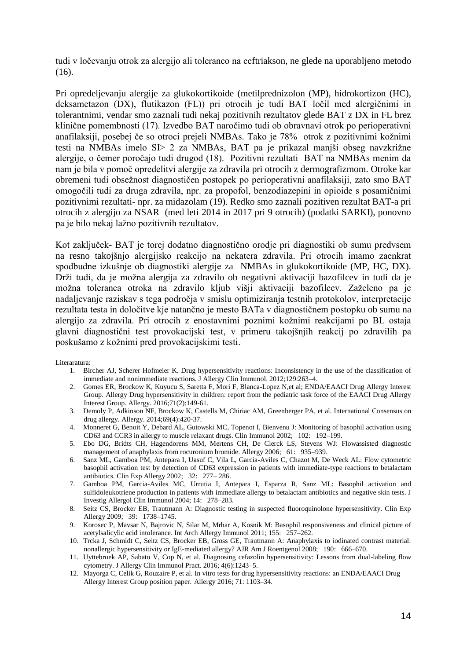tudi v ločevanju otrok za alergijo ali toleranco na ceftriakson, ne glede na uporabljeno metodo (16).

Pri opredeljevanju alergije za glukokortikoide (metilprednizolon (MP), hidrokortizon (HC), deksametazon (DX), flutikazon (FL)) pri otrocih je tudi BAT ločil med alergičnimi in tolerantnimi, vendar smo zaznali tudi nekaj pozitivnih rezultatov glede BAT z DX in FL brez klinične pomembnosti (17). Izvedbo BAT naročimo tudi ob obravnavi otrok po perioperativni anafilaksiji, posebej če so otroci prejeli NMBAs. Tako je 78% otrok z pozitivnimi kožnimi testi na NMBAs imelo SI> 2 za NMBAs, BAT pa je prikazal manjši obseg navzkrižne alergije, o čemer poročajo tudi drugod (18). Pozitivni rezultati BAT na NMBAs menim da nam je bila v pomoč opredelitvi alergije za zdravila pri otrocih z dermografizmom. Otroke kar obremeni tudi obsežnost diagnostičen postopek po perioperativni anafilaksiji, zato smo BAT omogočili tudi za druga zdravila, npr. za propofol, benzodiazepini in opioide s posamičnimi pozitivnimi rezultati- npr. za midazolam (19). Redko smo zaznali pozitiven rezultat BAT-a pri otrocih z alergijo za NSAR (med leti 2014 in 2017 pri 9 otrocih) (podatki SARKI), ponovno pa je bilo nekaj lažno pozitivnih rezultatov.

Kot zaključek- BAT je torej dodatno diagnostično orodje pri diagnostiki ob sumu predvsem na resno takojšnjo alergijsko reakcijo na nekatera zdravila. Pri otrocih imamo zaenkrat spodbudne izkušnje ob diagnostiki alergije za NMBAs in glukokortikoide (MP, HC, DX). Drži tudi, da je možna alergija za zdravilo ob negativni aktivaciji bazofilcev in tudi da je možna toleranca otroka na zdravilo kljub višji aktivaciji bazofilcev. Zaželeno pa je nadaljevanje raziskav s tega področja v smislu optimiziranja testnih protokolov, interpretacije rezultata testa in določitve kje natančno je mesto BATa v diagnostičnem postopku ob sumu na alergijo za zdravila. Pri otrocih z enostavnimi poznimi kožnimi reakcijami po BL ostaja glavni diagnostični test provokacijski test, v primeru takojšnjih reakcij po zdravilih pa poskušamo z kožnimi pred provokacijskimi testi.

Literaratura:

- 1. Bircher AJ, Scherer Hofmeier K. Drug hypersensitivity reactions: Inconsistency in the use of the classification of immediate and nonimmediate reactions. J Allergy Clin Immunol. 2012;129:263–4.
- 2. Gomes ER, Brockow K, Kuyucu S, Saretta F, Mori F, Blanca-Lopez N,et al; ENDA/EAACI Drug Allergy Interest Group. Allergy Drug hypersensitivity in children: report from the pediatric task force of the EAACI Drug Allergy Interest Group. Allergy. 2016;71(2):149-61.
- 3. Demoly P, Adkinson NF, Brockow K, Castells M, Chiriac AM, Greenberger PA, et al. International Consensus on drug allergy. Allergy. 2014;69(4):420-37.
- 4. Monneret G, Benoit Y, Debard AL, Gutowski MC, Topenot I, Bienvenu J: Monitoring of basophil activation using CD63 and CCR3 in allergy to muscle relaxant drugs. Clin Immunol 2002; 102: 192–199.
- 5. Ebo DG, Bridts CH, Hagendorens MM, Mertens CH, De Clerck LS, Stevens WJ: Flowassisted diagnostic management of anaphylaxis from rocuronium bromide. Allergy 2006; 61: 935–939.
- 6. Sanz ML, Gamboa PM, Antepara I, Uasuf C, Vila L, Garcia-Aviles C, Chazot M, De Weck AL: Flow cytometric basophil activation test by detection of CD63 expression in patients with immediate-type reactions to betalactam antibiotics. Clin Exp Allergy 2002; 32: 277– 286.
- 7. Gamboa PM, Garcia-Aviles MC, Urrutia I, Antepara I, Esparza R, Sanz ML: Basophil activation and sulfidoleukotriene production in patients with immediate allergy to betalactam antibiotics and negative skin tests. J Investig Allergol Clin Immunol 2004; 14: 278–283.
- 8. Seitz CS, Brocker EB, Trautmann A: Diagnostic testing in suspected fluoroquinolone hypersensitivity. Clin Exp Allergy 2009; 39: 1738–1745.
- 9. Korosec P, Mavsar N, Bajrovic N, Silar M, Mrhar A, Kosnik M: Basophil responsiveness and clinical picture of acetylsalicylic acid intolerance. Int Arch Allergy Immunol 2011; 155: 257–262.
- 10. Trcka J, Schmidt C, Seitz CS, Brocker EB, Gross GE, Trautmann A: Anaphylaxis to iodinated contrast material: nonallergic hypersensitivity or IgE-mediated allergy? AJR Am J Roentgenol 2008; 190: 666–670.
- 11. Uyttebroek AP, Sabato V, Cop N, et al. Diagnosing cefazolin hypersensitivity: Lessons from dual-labeling flow cytometry. J Allergy Clin Immunol Pract. 2016; 4(6):1243–5.
- 12. Mayorga C, Celik G, Rouzaire P, et al. In vitro tests for drug hypersensitivity reactions: an ENDA/EAACI Drug Allergy Interest Group position paper. Allergy 2016; 71: 1103–34.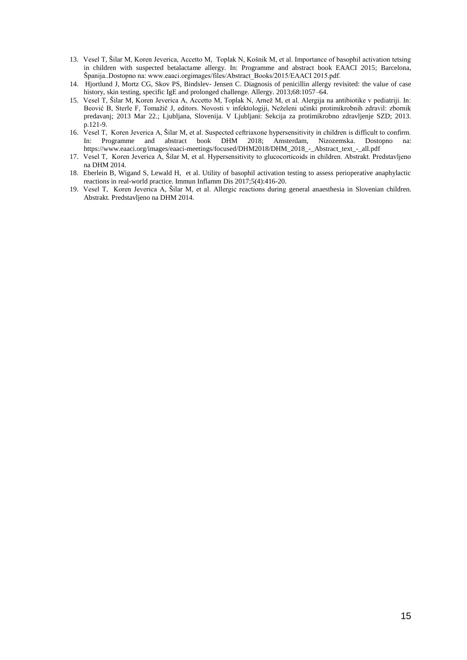- 13. Vesel T, Šilar M, Koren Jeverica, Accetto M, Toplak N, Košnik M, et al. Importance of basophil activation tetsing in children with suspected betalactame allergy. In: Programme and abstract book EAACI 2015; Barcelona, Španija..Dostopno na: www.eaaci.orgimages/files/Abstract\_Books/2015/EAACI 2015.pdf.
- 14. Hjortlund J, Mortz CG, Skov PS, Bindslev- Jensen C. Diagnosis of penicillin allergy revisited: the value of case history, skin testing, specific IgE and prolonged challenge. Allergy. 2013;68:1057–64.
- 15. Vesel T, Šilar M, Koren Jeverica A, Accetto M, Toplak N, Arnež M, et al. Alergija na antibiotike v pediatriji. In: Beović B, Sterle F, Tomažič J, editors. Novosti v infektologiji, Neželeni učinki protimikrobnih zdravil: zbornik predavanj; 2013 Mar 22.; Ljubljana, Slovenija. V Ljubljani: Sekcija za protimikrobno zdravljenje SZD; 2013. p.121-9.
- 16. Vesel T, Koren Jeverica A, Šilar M, et al. Suspected ceftriaxone hypersensitivity in children is difficult to confirm. In: Programme and abstract book DHM 2018; Amsterdam, Nizozemska. Dostopno na: https://www.eaaci.org/images/eaaci-meetings/focused/DHM2018/DHM\_2018\_-\_Abstract\_text\_-\_all.pdf
- 17. Vesel T, Koren Jeverica A, Šilar M, et al. Hypersensitivity to glucocorticoids in children. Abstrakt. Predstavljeno na DHM 2014.
- 18. Eberlein B, Wigand S, Lewald H, et al. Utility of basophil activation testing to assess perioperative anaphylactic reactions in real-world practice. Immun Inflamm Dis 2017;5(4):416-20.
- 19. Vesel T, Koren Jeverica A, Šilar M, et al. Allergic reactions during general anaesthesia in Slovenian children. Abstrakt. Predstavljeno na DHM 2014.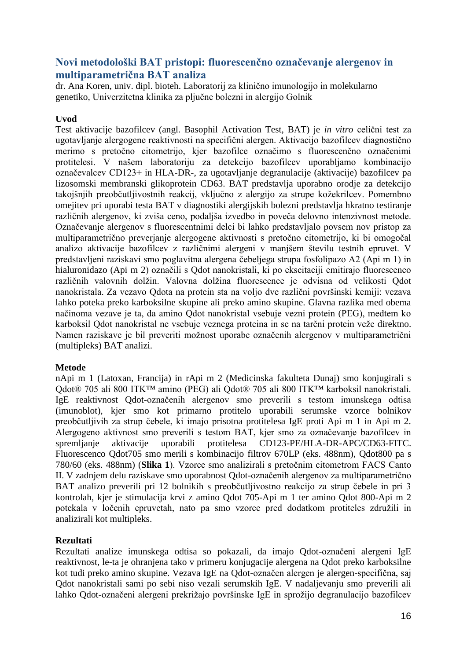# **Novi metodološki BAT pristopi: fluorescenčno označevanje alergenov in multiparametrična BAT analiza**

dr. Ana Koren, univ. dipl. bioteh. Laboratorij za klinično imunologijo in molekularno genetiko, Univerzitetna klinika za pljučne bolezni in alergijo Golnik

#### **Uvod**

Test aktivacije bazofilcev (angl. Basophil Activation Test, BAT) je *in vitro* celični test za ugotavljanje alergogene reaktivnosti na specifični alergen. Aktivacijo bazofilcev diagnostično merimo s pretočno citometrijo, kjer bazofilce označimo s fluorescenčno označenimi protitelesi. V našem laboratoriju za detekcijo bazofilcev uporabljamo kombinacijo označevalcev CD123+ in HLA-DR-, za ugotavljanje degranulacije (aktivacije) bazofilcev pa lizosomski membranski glikoprotein CD63. BAT predstavlja uporabno orodje za detekcijo takojšnjih preobčutljivostnih reakcij, vključno z alergijo za strupe kožekrilcev. Pomembno omejitev pri uporabi testa BAT v diagnostiki alergijskih bolezni predstavlja hkratno testiranje različnih alergenov, ki zviša ceno, podaljša izvedbo in poveča delovno intenzivnost metode. Označevanje alergenov s fluorescentnimi delci bi lahko predstavljalo povsem nov pristop za multiparametrično preverjanje alergogene aktivnosti s pretočno citometrijo, ki bi omogočal analizo aktivacije bazofilcev z različnimi alergeni v manjšem številu testnih epruvet. V predstavljeni raziskavi smo poglavitna alergena čebeljega strupa fosfolipazo A2 (Api m 1) in hialuronidazo (Api m 2) označili s Qdot nanokristali, ki po ekscitaciji emitirajo fluorescenco različnih valovnih dolžin. Valovna dolžina fluorescence je odvisna od velikosti Qdot nanokristala. Za vezavo Qdota na protein sta na voljo dve različni površinski kemiji: vezava lahko poteka preko karboksilne skupine ali preko amino skupine. Glavna razlika med obema načinoma vezave je ta, da amino Qdot nanokristal vsebuje vezni protein (PEG), medtem ko karboksil Qdot nanokristal ne vsebuje veznega proteina in se na tarčni protein veže direktno. Namen raziskave je bil preveriti možnost uporabe označenih alergenov v multiparametrični (multipleks) BAT analizi.

#### **Metode**

nApi m 1 (Latoxan, Francija) in rApi m 2 (Medicinska fakulteta Dunaj) smo konjugirali s Qdot® 705 ali 800 ITK™ amino (PEG) ali Qdot® 705 ali 800 ITK™ karboksil nanokristali. IgE reaktivnost Qdot-označenih alergenov smo preverili s testom imunskega odtisa (imunoblot), kjer smo kot primarno protitelo uporabili serumske vzorce bolnikov preobčutljivih za strup čebele, ki imajo prisotna protitelesa IgE proti Api m 1 in Api m 2. Alergogeno aktivnost smo preverili s testom BAT, kjer smo za označevanje bazofilcev in spremlianie aktivacije uporabili protitelesa CD123-PE/HLA-DR-APC/CD63-FITC. Fluorescenco Qdot705 smo merili s kombinacijo filtrov 670LP (eks. 488nm), Qdot800 pa s 780/60 (eks. 488nm) (**Slika 1**). Vzorce smo analizirali s pretočnim citometrom FACS Canto II. V zadnjem delu raziskave smo uporabnost Qdot-označenih alergenov za multiparametrično BAT analizo preverili pri 12 bolnikih s preobčutljivostno reakcijo za strup čebele in pri 3 kontrolah, kjer je stimulacija krvi z amino Qdot 705-Api m 1 ter amino Qdot 800-Api m 2 potekala v ločenih epruvetah, nato pa smo vzorce pred dodatkom protiteles združili in analizirali kot multipleks.

#### **Rezultati**

Rezultati analize imunskega odtisa so pokazali, da imajo Qdot-označeni alergeni IgE reaktivnost, le-ta je ohranjena tako v primeru konjugacije alergena na Qdot preko karboksilne kot tudi preko amino skupine. Vezava IgE na Qdot-označen alergen je alergen-specifična, saj Qdot nanokristali sami po sebi niso vezali serumskih IgE. V nadaljevanju smo preverili ali lahko Qdot-označeni alergeni prekrižajo površinske IgE in sprožijo degranulacijo bazofilcev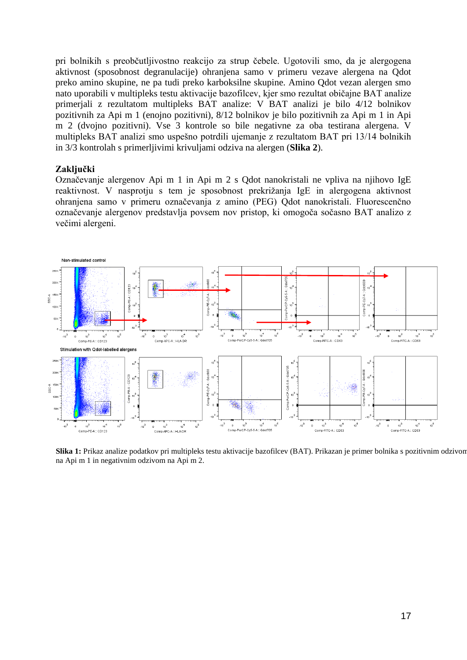pri bolnikih s preobčutljivostno reakcijo za strup čebele. Ugotovili smo, da je alergogena aktivnost (sposobnost degranulacije) ohranjena samo v primeru vezave alergena na Qdot preko amino skupine, ne pa tudi preko karboksilne skupine. Amino Qdot vezan alergen smo nato uporabili v multipleks testu aktivacije bazofilcev, kjer smo rezultat običajne BAT analize primerjali z rezultatom multipleks BAT analize: V BAT analizi je bilo 4/12 bolnikov pozitivnih za Api m 1 (enojno pozitivni), 8/12 bolnikov je bilo pozitivnih za Api m 1 in Api m 2 (dvojno pozitivni). Vse 3 kontrole so bile negativne za oba testirana alergena. V multipleks BAT analizi smo uspešno potrdili ujemanje z rezultatom BAT pri 13/14 bolnikih in 3/3 kontrolah s primerljivimi krivuljami odziva na alergen (**Slika 2**).

#### **Zaključki**

Označevanje alergenov Api m 1 in Api m 2 s Qdot nanokristali ne vpliva na njihovo IgE reaktivnost. V nasprotju s tem je sposobnost prekrižanja IgE in alergogena aktivnost ohranjena samo v primeru označevanja z amino (PEG) Qdot nanokristali. Fluorescenčno označevanje alergenov predstavlja povsem nov pristop, ki omogoča sočasno BAT analizo z večimi alergeni.



**Slika 1:** Prikaz analize podatkov pri multipleks testu aktivacije bazofilcev (BAT). Prikazan je primer bolnika s pozitivnim odzivom na Api m 1 in negativnim odzivom na Api m 2.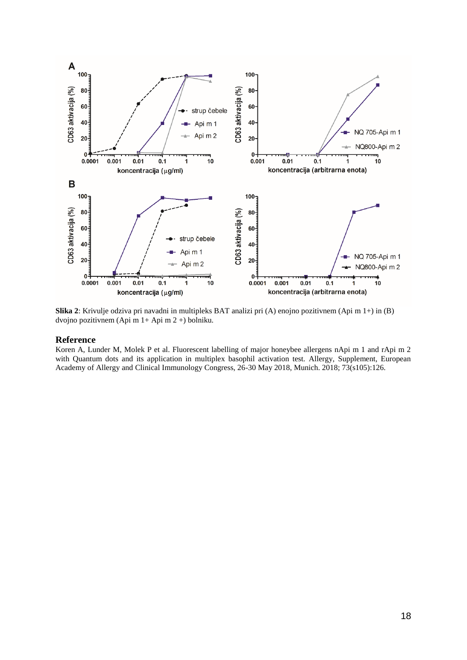

**Slika 2**: Krivulje odziva pri navadni in multipleks BAT analizi pri (A) enojno pozitivnem (Api m 1+) in (B) dvojno pozitivnem (Api m 1+ Api m 2 +) bolniku.

#### **Reference**

Koren A, Lunder M, Molek P et al. Fluorescent labelling of major honeybee allergens nApi m 1 and rApi m 2 with Quantum dots and its application in multiplex basophil activation test. Allergy, Supplement, European Academy of Allergy and Clinical Immunology Congress, 26-30 May 2018, Munich. 2018; 73(s105):126.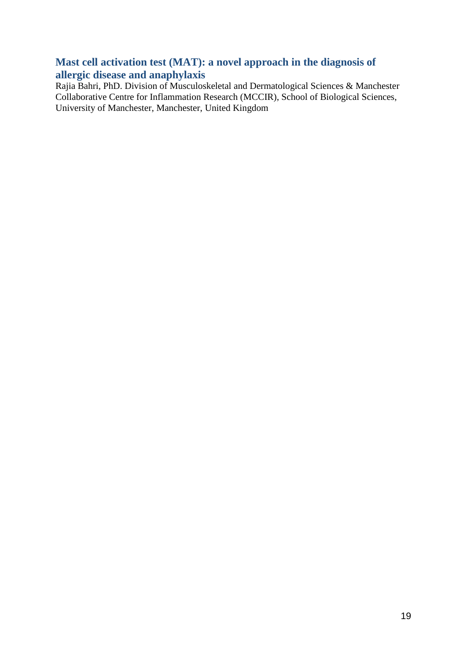# **Mast cell activation test (MAT): a novel approach in the diagnosis of allergic disease and anaphylaxis**

Rajia Bahri, PhD. Division of Musculoskeletal and Dermatological Sciences & Manchester Collaborative Centre for Inflammation Research (MCCIR), School of Biological Sciences, University of Manchester, Manchester, United Kingdom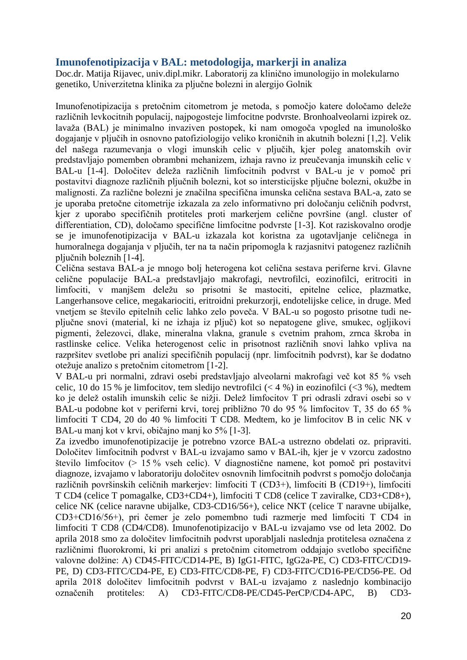# **Imunofenotipizacija v BAL: metodologija, markerji in analiza**

Doc.dr. Matija Rijavec, univ.dipl.mikr. Laboratorij za klinično imunologijo in molekularno genetiko, Univerzitetna klinika za pljučne bolezni in alergijo Golnik

Imunofenotipizacija s pretočnim citometrom je metoda, s pomočjo katere določamo deleže različnih levkocitnih populacij, najpogosteje limfocitne podvrste. Bronhoalveolarni izpirek oz. lavaža (BAL) je minimalno invaziven postopek, ki nam omogoča vpogled na imunološko dogajanje v pljučih in osnovno patofiziologijo veliko kroničnih in akutnih bolezni [1,2]. Velik del našega razumevanja o vlogi imunskih celic v pljučih, kjer poleg anatomskih ovir predstavljajo pomemben obrambni mehanizem, izhaja ravno iz preučevanja imunskih celic v BAL-u [1-4]. Določitev deleža različnih limfocitnih podvrst v BAL-u je v pomoč pri postavitvi diagnoze različnih pljučnih bolezni, kot so intersticijske pljučne bolezni, okužbe in malignosti. Za različne bolezni je značilna specifična imunska celična sestava BAL-a, zato se je uporaba pretočne citometrije izkazala za zelo informativno pri določanju celičnih podvrst, kjer z uporabo specifičnih protiteles proti markerjem celične površine (angl. cluster of differentiation, CD), določamo specifične limfocitne podvrste [1-3]. Kot raziskovalno orodje se je imunofenotipizacija v BAL-u izkazala kot koristna za ugotavljanje celičnega in humoralnega dogajanja v pljučih, ter na ta način pripomogla k razjasnitvi patogenez različnih pljučnih boleznih [1-4].

Celična sestava BAL-a je mnogo bolj heterogena kot celična sestava periferne krvi. Glavne celične populacije BAL-a predstavljajo makrofagi, nevtrofilci, eozinofilci, eritrociti in limfociti, v manjšem deležu so prisotni še mastociti, epitelne celice, plazmatke, Langerhansove celice, megakariociti, eritroidni prekurzorji, endotelijske celice, in druge. Med vnetjem se število epitelnih celic lahko zelo poveča. V BAL-u so pogosto prisotne tudi nepljučne snovi (material, ki ne izhaja iz pljuč) kot so nepatogene glive, smukec, ogljikovi pigmenti, železovci, dlake, mineralna vlakna, granule s cvetnim prahom, zrnca škroba in rastlinske celice. Velika heterogenost celic in prisotnost različnih snovi lahko vpliva na razpršitev svetlobe pri analizi specifičnih populacij (npr. limfocitnih podvrst), kar še dodatno otežuje analizo s pretočnim citometrom [1-2].

V BAL-u pri normalni, zdravi osebi predstavljajo alveolarni makrofagi več kot 85 % vseh celic, 10 do 15 % je limfocitov, tem sledijo nevtrofilci  $(< 4 %$ ) in eozinofilci  $(< 3 %)$ , medtem ko je delež ostalih imunskih celic še nižji. Delež limfocitov T pri odrasli zdravi osebi so v BAL-u podobne kot v periferni krvi, torej približno 70 do 95 % limfocitov T, 35 do 65 % limfociti T CD4, 20 do 40 % limfociti T CD8. Medtem, ko je limfocitov B in celic NK v BAL-u manj kot v krvi, običajno manj ko 5% [1-3].

Za izvedbo imunofenotipizacije je potrebno vzorce BAL-a ustrezno obdelati oz. pripraviti. Določitev limfocitnih podvrst v BAL-u izvajamo samo v BAL-ih, kjer je v vzorcu zadostno število limfocitov (> 15 % vseh celic). V diagnostične namene, kot pomoč pri postavitvi diagnoze, izvajamo v laboratoriju določitev osnovnih limfocitnih podvrst s pomočjo določanja različnih površinskih celičnih markerjev: limfociti T (CD3+), limfociti B (CD19+), limfociti T CD4 (celice T pomagalke, CD3+CD4+), limfociti T CD8 (celice T zaviralke, CD3+CD8+), celice NK (celice naravne ubijalke, CD3-CD16/56+), celice NKT (celice T naravne ubijalke, CD3+CD16/56+), pri čemer je zelo pomembno tudi razmerje med limfociti T CD4 in limfociti T CD8 (CD4/CD8). Imunofenotipizacijo v BAL-u izvajamo vse od leta 2002. Do aprila 2018 smo za določitev limfocitnih podvrst uporabljali naslednja protitelesa označena z različnimi fluorokromi, ki pri analizi s pretočnim citometrom oddajajo svetlobo specifične valovne dolžine: A) CD45-FITC/CD14-PE, B) IgG1-FITC, IgG2a-PE, C) CD3-FITC/CD19- PE, D) CD3-FITC/CD4-PE, E) CD3-FITC/CD8-PE, F) CD3-FITC/CD16-PE/CD56-PE. Od aprila 2018 določitev limfocitnih podvrst v BAL-u izvajamo z naslednjo kombinacijo označenih protiteles: A) CD3-FITC/CD8-PE/CD45-PerCP/CD4-APC, B) CD3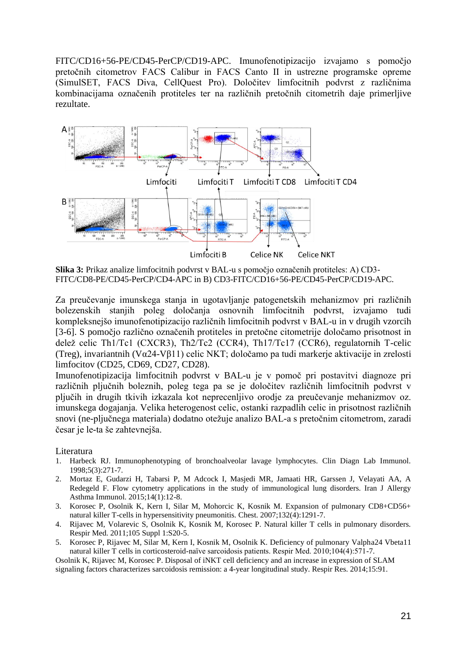FITC/CD16+56-PE/CD45-PerCP/CD19-APC. Imunofenotipizacijo izvajamo s pomočjo pretočnih citometrov FACS Calibur in FACS Canto II in ustrezne programske opreme (SimulSET, FACS Diva, CellQuest Pro). Določitev limfocitnih podvrst z različnima kombinacijama označenih protiteles ter na različnih pretočnih citometrih daje primerljive rezultate.



**Slika 3:** Prikaz analize limfocitnih podvrst v BAL-u s pomočjo označenih protiteles: A) CD3- FITC/CD8-PE/CD45-PerCP/CD4-APC in B) CD3-FITC/CD16+56-PE/CD45-PerCP/CD19-APC.

Za preučevanje imunskega stanja in ugotavljanje patogenetskih mehanizmov pri različnih bolezenskih stanjih poleg določanja osnovnih limfocitnih podvrst, izvajamo tudi kompleksnejšo imunofenotipizacijo različnih limfocitnih podvrst v BAL-u in v drugih vzorcih [3-6]. S pomočjo različno označenih protiteles in pretočne citometrije določamo prisotnost in delež celic Th1/Tc1 (CXCR3), Th2/Tc2 (CCR4), Th17/Tc17 (CCR6), regulatornih T-celic (Treg), invariantnih (Vα24-Vβ11) celic NKT; določamo pa tudi markerje aktivacije in zrelosti limfocitov (CD25, CD69, CD27, CD28).

Imunofenotipizacija limfocitnih podvrst v BAL-u je v pomoč pri postavitvi diagnoze pri različnih pljučnih boleznih, poleg tega pa se je določitev različnih limfocitnih podvrst v pljučih in drugih tkivih izkazala kot neprecenljivo orodje za preučevanje mehanizmov oz. imunskega dogajanja. Velika heterogenost celic, ostanki razpadlih celic in prisotnost različnih snovi (ne-pljučnega materiala) dodatno otežuje analizo BAL-a s pretočnim citometrom, zaradi česar je le-ta še zahtevnejša.

#### Literatura

- 1. Harbeck RJ. Immunophenotyping of bronchoalveolar lavage lymphocytes. Clin Diagn Lab Immunol. 1998;5(3):271-7.
- 2. Mortaz E, Gudarzi H, Tabarsi P, M Adcock I, Masjedi MR, Jamaati HR, Garssen J, Velayati AA, A Redegeld F. Flow cytometry applications in the study of immunological lung disorders. Iran J Allergy Asthma Immunol. 2015;14(1):12-8.
- 3. Korosec P, Osolnik K, Kern I, Silar M, Mohorcic K, Kosnik M. Expansion of pulmonary CD8+CD56+ natural killer T-cells in hypersensitivity pneumonitis. Chest. 2007;132(4):1291-7.
- 4. Rijavec M, Volarevic S, Osolnik K, Kosnik M, Korosec P. Natural killer T cells in pulmonary disorders. Respir Med. 2011;105 Suppl 1:S20-5.
- 5. Korosec P, Rijavec M, Silar M, Kern I, Kosnik M, Osolnik K. Deficiency of pulmonary Valpha24 Vbeta11 natural killer T cells in corticosteroid-naïve sarcoidosis patients. Respir Med. 2010;104(4):571-7.

Osolnik K, Rijavec M, Korosec P. Disposal of iNKT cell deficiency and an increase in expression of SLAM signaling factors characterizes sarcoidosis remission: a 4-year longitudinal study. Respir Res. 2014;15:91.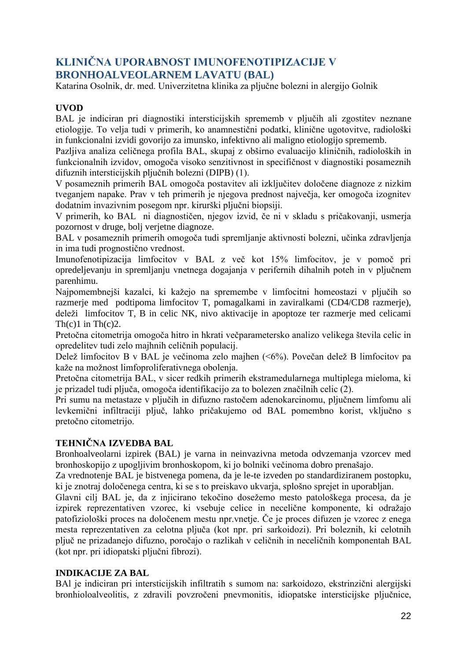# **KLINIČNA UPORABNOST IMUNOFENOTIPIZACIJE V BRONHOALVEOLARNEM LAVATU (BAL)**

Katarina Osolnik, dr. med. Univerzitetna klinika za pljučne bolezni in alergijo Golnik

#### **UVOD**

BAL je indiciran pri diagnostiki intersticijskih sprememb v pljučih ali zgostitev neznane etiologije. To velja tudi v primerih, ko anamnestični podatki, klinične ugotovitve, radiološki in funkcionalni izvidi govorijo za imunsko, infektivno ali maligno etiologijo sprememb.

Pazljiva analiza celičnega profila BAL, skupaj z obširno evaluacijo kliničnih, radioloških in funkcionalnih izvidov, omogoča visoko senzitivnost in specifičnost v diagnostiki posameznih difuznih intersticijskih pljučnih bolezni (DIPB) (1).

V posameznih primerih BAL omogoča postavitev ali izključitev določene diagnoze z nizkim tveganjem napake. Prav v teh primerih je njegova prednost največja, ker omogoča izognitev dodatnim invazivnim posegom npr. kirurški pljučni biopsiji.

V primerih, ko BAL ni diagnostičen, njegov izvid, če ni v skladu s pričakovanji, usmerja pozornost v druge, bolj verjetne diagnoze.

BAL v posameznih primerih omogoča tudi spremljanje aktivnosti bolezni, učinka zdravljenja in ima tudi prognostično vrednost.

Imunofenotipizacija limfocitov v BAL z več kot 15% limfocitov, je v pomoč pri opredeljevanju in spremljanju vnetnega dogajanja v perifernih dihalnih poteh in v pljučnem parenhimu.

Najpomembnejši kazalci, ki kažejo na spremembe v limfocitni homeostazi v pljučih so razmerje med podtipoma limfocitov T, pomagalkami in zaviralkami (CD4/CD8 razmerje), deleži limfocitov T, B in celic NK, nivo aktivacije in apoptoze ter razmerje med celicami Th $(c)1$  in Th $(c)2$ .

Pretočna citometrija omogoča hitro in hkrati večparametersko analizo velikega števila celic in opredelitev tudi zelo majhnih celičnih populacij.

Delež limfocitov B v BAL je večinoma zelo majhen (<6%). Povečan delež B limfocitov pa kaže na možnost limfoproliferativnega obolenja.

Pretočna citometrija BAL, v sicer redkih primerih ekstramedularnega multiplega mieloma, ki je prizadel tudi pljuča, omogoča identifikacijo za to bolezen značilnih celic (2).

Pri sumu na metastaze v pljučih in difuzno rastočem adenokarcinomu, pljučnem limfomu ali levkemični infiltraciji pljuč, lahko pričakujemo od BAL pomembno korist, vključno s pretočno citometrijo.

# **TEHNIČNA IZVEDBA BAL**

Bronhoalveolarni izpirek (BAL) je varna in neinvazivna metoda odvzemanja vzorcev med bronhoskopijo z upogljivim bronhoskopom, ki jo bolniki večinoma dobro prenašajo.

Za vrednotenje BAL je bistvenega pomena, da je le-te izveden po standardiziranem postopku, ki je znotraj določenega centra, ki se s to preiskavo ukvarja, splošno sprejet in uporabljan.

Glavni cilj BAL je, da z injicirano tekočino dosežemo mesto patološkega procesa, da je izpirek reprezentativen vzorec, ki vsebuje celice in necelične komponente, ki odražajo patofiziološki proces na določenem mestu npr.vnetje. Če je proces difuzen je vzorec z enega mesta reprezentativen za celotna pljuča (kot npr. pri sarkoidozi). Pri boleznih, ki celotnih pljuč ne prizadanejo difuzno, poročajo o razlikah v celičnih in neceličnih komponentah BAL (kot npr. pri idiopatski pljučni fibrozi).

#### **INDIKACIJE ZA BAL**

BAl je indiciran pri intersticijskih infiltratih s sumom na: sarkoidozo, ekstrinzični alergijski bronhioloalveolitis, z zdravili povzročeni pnevmonitis, idiopatske intersticijske pljučnice,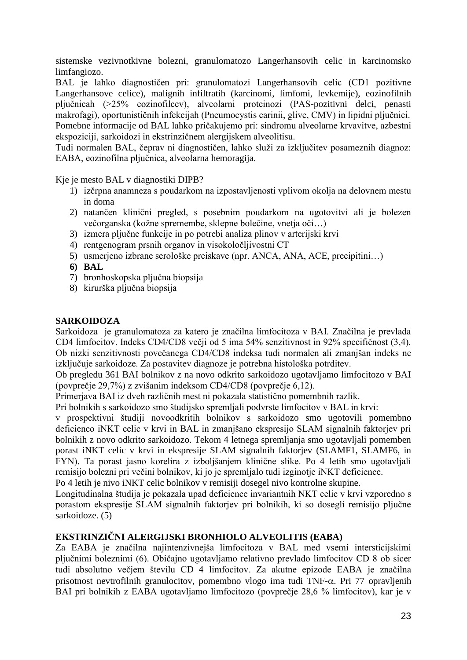sistemske vezivnotkivne bolezni, granulomatozo Langerhansovih celic in karcinomsko limfangiozo.

BAL je lahko diagnostičen pri: granulomatozi Langerhansovih celic (CD1 pozitivne Langerhansove celice), malignih infiltratih (karcinomi, limfomi, levkemije), eozinofilnih pljučnicah (>25% eozinofilcev), alveolarni proteinozi (PAS-pozitivni delci, penasti makrofagi), oportunističnih infekcijah (Pneumocystis carinii, glive, CMV) in lipidni pljučnici. Pomebne informacije od BAL lahko pričakujemo pri: sindromu alveolarne krvavitve, azbestni ekspoziciji, sarkoidozi in ekstrinzičnem alergijskem alveolitisu.

Tudi normalen BAL, čeprav ni diagnostičen, lahko služi za izključitev posameznih diagnoz: EABA, eozinofilna pljučnica, alveolarna hemoragija.

Kje je mesto BAL v diagnostiki DIPB?

- 1) izčrpna anamneza s poudarkom na izpostavljenosti vplivom okolja na delovnem mestu in doma
- 2) natančen klinični pregled, s posebnim poudarkom na ugotovitvi ali je bolezen večorganska (kožne spremembe, sklepne bolečine, vnetja oči…)
- 3) izmera pljučne funkcije in po potrebi analiza plinov v arterijski krvi
- 4) rentgenogram prsnih organov in visokoločljivostni CT
- 5) usmerjeno izbrane serološke preiskave (npr. ANCA, ANA, ACE, precipitini…)
- **6) BAL**
- 7) bronhoskopska pljučna biopsija
- 8) kirurška pljučna biopsija

#### **SARKOIDOZA**

Sarkoidoza je granulomatoza za katero je značilna limfocitoza v BAI. Značilna je prevlada CD4 limfocitov. Indeks CD4/CD8 večji od 5 ima 54% senzitivnost in 92% specifičnost (3,4). Ob nizki senzitivnosti povečanega CD4/CD8 indeksa tudi normalen ali zmanjšan indeks ne izključuje sarkoidoze. Za postavitev diagnoze je potrebna histološka potrditev.

Ob pregledu 361 BAI bolnikov z na novo odkrito sarkoidozo ugotavljamo limfocitozo v BAI (povprečje 29,7%) z zvišanim indeksom CD4/CD8 (povprečje 6,12).

Primerjava BAI iz dveh različnih mest ni pokazala statistično pomembnih razlik.

Pri bolnikih s sarkoidozo smo študijsko spremljali podvrste limfocitov v BAL in krvi:

v prospektivni študiji novoodkritih bolnikov s sarkoidozo smo ugotovili pomembno deficienco iNKT celic v krvi in BAL in zmanjšano ekspresijo SLAM signalnih faktorjev pri bolnikih z novo odkrito sarkoidozo. Tekom 4 letnega spremljanja smo ugotavljali pomemben porast iNKT celic v krvi in ekspresije SLAM signalnih faktorjev (SLAMF1, SLAMF6, in FYN). Ta porast jasno korelira z izboljšanjem klinične slike. Po 4 letih smo ugotavljali remisijo bolezni pri večini bolnikov, ki jo je spremljalo tudi izginotje iNKT deficience.

Po 4 letih je nivo iNKT celic bolnikov v remisiji dosegel nivo kontrolne skupine.

Longitudinalna študija je pokazala upad deficience invariantnih NKT celic v krvi vzporedno s porastom ekspresije SLAM signalnih faktorjev pri bolnikih, ki so dosegli remisijo pljučne sarkoidoze. (5)

#### **EKSTRINZIČNI ALERGIJSKI BRONHIOLO ALVEOLITIS (EABA)**

Za EABA je značilna najintenzivnejša limfocitoza v BAL med vsemi intersticijskimi pljučnimi boleznimi (6). Običajno ugotavljamo relativno prevlado limfocitov CD 8 ob sicer tudi absolutno večjem številu CD 4 limfocitov. Za akutne epizode EABA je značilna prisotnost nevtrofilnih granulocitov, pomembno vlogo ima tudi TNF- $\alpha$ . Pri 77 opravljenih BAI pri bolnikih z EABA ugotavljamo limfocitozo (povprečje 28,6 % limfocitov), kar je v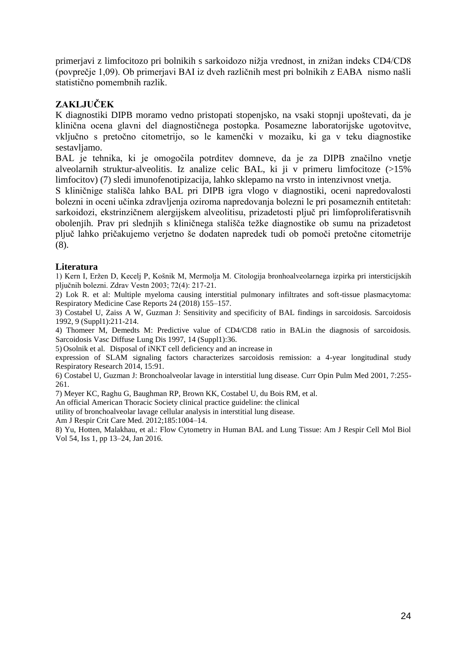primerjavi z limfocitozo pri bolnikih s sarkoidozo nižja vrednost, in znižan indeks CD4/CD8 (povprečje 1,09). Ob primerjavi BAI iz dveh različnih mest pri bolnikih z EABA nismo našli statistično pomembnih razlik.

#### **ZAKLJUČEK**

K diagnostiki DIPB moramo vedno pristopati stopenjsko, na vsaki stopnji upoštevati, da je klinična ocena glavni del diagnostičnega postopka. Posamezne laboratorijske ugotovitve, vključno s pretočno citometrijo, so le kamenčki v mozaiku, ki ga v teku diagnostike sestavljamo.

BAL je tehnika, ki je omogočila potrditev domneve, da je za DIPB značilno vnetje alveolarnih struktur-alveolitis. Iz analize celic BAL, ki ji v primeru limfocitoze (>15% limfocitov) (7) sledi imunofenotipizacija, lahko sklepamo na vrsto in intenzivnost vnetja.

S kliničnige stališča lahko BAL pri DIPB igra vlogo v diagnostiki, oceni napredovalosti bolezni in oceni učinka zdravljenja oziroma napredovanja bolezni le pri posameznih entitetah: sarkoidozi, ekstrinzičnem alergijskem alveolitisu, prizadetosti pljuč pri limfoproliferatisvnih obolenjih. Prav pri slednjih s kliničnega stališča težke diagnostike ob sumu na prizadetost pljuč lahko pričakujemo verjetno še dodaten napredek tudi ob pomoči pretočne citometrije (8).

#### **Literatura**

1) Kern I, Eržen D, Kecelj P, Košnik M, Mermolja M. Citologija bronhoalveolarnega izpirka pri intersticijskih pljučnih bolezni. Zdrav Vestn 2003; 72(4): 217-21.

2) Lok R. et al: Multiple myeloma causing interstitial pulmonary infiltrates and soft-tissue plasmacytoma: Respiratory Medicine Case Reports 24 (2018) 155–157.

3) Costabel U, Zaiss A W, Guzman J: Sensitivity and specificity of BAL findings in sarcoidosis. Sarcoidosis 1992, 9 (Suppl1):211-214.

4) Thomeer M, Demedts M: Predictive value of CD4/CD8 ratio in BALin the diagnosis of sarcoidosis. Sarcoidosis Vasc Diffuse Lung Dis 1997, 14 (Suppl1):36.

5) Osolnik et al. Disposal of iNKT cell deficiency and an increase in

expression of SLAM signaling factors characterizes sarcoidosis remission: a 4-year longitudinal study Respiratory Research 2014, 15:91.

6) Costabel U, Guzman J: Bronchoalveolar lavage in interstitial lung disease. Curr Opin Pulm Med 2001, 7:255- 261.

7) Meyer KC, Raghu G, Baughman RP, Brown KK, Costabel U, du Bois RM, et al.

An official American Thoracic Society clinical practice guideline: the clinical

utility of bronchoalveolar lavage cellular analysis in interstitial lung disease.

Am J Respir Crit Care Med. 2012;185:1004–14.

8) Yu, Hotten, Malakhau, et al.: Flow Cytometry in Human BAL and Lung Tissue: Am J Respir Cell Mol Biol Vol 54, Iss 1, pp 13–24, Jan 2016.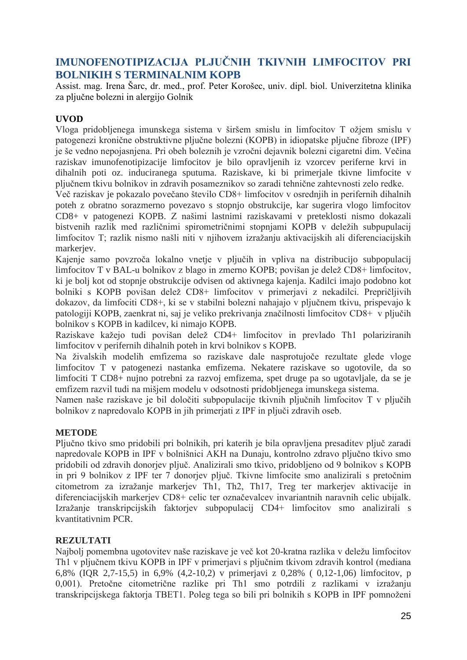# **IMUNOFENOTIPIZACIJA PLJUČNIH TKIVNIH LIMFOCITOV PRI BOLNIKIH S TERMINALNIM KOPB**

Assist. mag. Irena Šarc, dr. med., prof. Peter Korošec, univ. dipl. biol. Univerzitetna klinika za pljučne bolezni in alergijo Golnik

#### **UVOD**

Vloga pridobljenega imunskega sistema v širšem smislu in limfocitov T ožjem smislu v patogenezi kronične obstruktivne pljučne bolezni (KOPB) in idiopatske pljučne fibroze (IPF) je še vedno nepojasnjena. Pri obeh boleznih je vzročni dejavnik bolezni cigaretni dim. Večina raziskav imunofenotipizacije limfocitov je bilo opravljenih iz vzorcev periferne krvi in dihalnih poti oz. induciranega sputuma. Raziskave, ki bi primerjale tkivne limfocite v pljučnem tkivu bolnikov in zdravih posameznikov so zaradi tehnične zahtevnosti zelo redke.

Več raziskav je pokazalo povečano število CD8+ limfocitov v osrednjih in perifernih dihalnih poteh z obratno sorazmerno povezavo s stopnjo obstrukcije, kar sugerira vlogo limfocitov CD8+ v patogenezi KOPB. Z našimi lastnimi raziskavami v preteklosti nismo dokazali bistvenih razlik med različnimi spirometričnimi stopnjami KOPB v deležih subpupulacij limfocitov T; razlik nismo našli niti v njihovem izražanju aktivacijskih ali diferenciacijskih markerjev.

Kajenje samo povzroča lokalno vnetje v pljučih in vpliva na distribucijo subpopulacij limfocitov T v BAL-u bolnikov z blago in zmerno KOPB; povišan je delež CD8+ limfocitov, ki je bolj kot od stopnje obstrukcije odvisen od aktivnega kajenja. Kadilci imajo podobno kot bolniki s KOPB povišan delež CD8+ limfocitov v primerjavi z nekadilci. Prepričljivih dokazov, da limfociti CD8+, ki se v stabilni bolezni nahajajo v pljučnem tkivu, prispevajo k patologiji KOPB, zaenkrat ni, saj je veliko prekrivanja značilnosti limfocitov CD8+ v pljučih bolnikov s KOPB in kadilcev, ki nimajo KOPB.

Raziskave kažejo tudi povišan delež CD4+ limfocitov in prevlado Th1 polariziranih limfocitov v perifernih dihalnih poteh in krvi bolnikov s KOPB.

Na živalskih modelih emfizema so raziskave dale nasprotujoče rezultate glede vloge limfocitov T v patogenezi nastanka emfizema. Nekatere raziskave so ugotovile, da so limfociti T CD8+ nujno potrebni za razvoj emfizema, spet druge pa so ugotavljale, da se je emfizem razvil tudi na mišjem modelu v odsotnosti pridobljenega imunskega sistema.

Namen naše raziskave je bil določiti subpopulacije tkivnih pljučnih limfocitov T v pljučih bolnikov z napredovalo KOPB in jih primerjati z IPF in pljuči zdravih oseb.

#### **METODE**

Pljučno tkivo smo pridobili pri bolnikih, pri katerih je bila opravljena presaditev pljuč zaradi napredovale KOPB in IPF v bolnišnici AKH na Dunaju, kontrolno zdravo pljučno tkivo smo pridobili od zdravih donorjev pljuč. Analizirali smo tkivo, pridobljeno od 9 bolnikov s KOPB in pri 9 bolnikov z IPF ter 7 donorjev pljuč. Tkivne limfocite smo analizirali s pretočnim citometrom za izražanje markerjev Th1, Th2, Th17, Treg ter markerjev aktivacije in diferenciacijskih markerjev CD8+ celic ter označevalcev invariantnih naravnih celic ubijalk. Izražanje transkripcijskih faktorjev subpopulacij CD4+ limfocitov smo analizirali s kvantitativnim PCR.

#### **REZULTATI**

Najbolj pomembna ugotovitev naše raziskave je več kot 20-kratna razlika v deležu limfocitov Th1 v pljučnem tkivu KOPB in IPF v primerjavi s pljučnim tkivom zdravih kontrol (mediana 6,8% (IQR 2,7-15,5) in 6,9% (4,2-10,2) v primerjavi z 0,28% ( 0,12-1,06) limfocitov, p 0,001). Pretočne citometrične razlike pri Th1 smo potrdili z razlikami v izražanju transkripcijskega faktorja TBET1. Poleg tega so bili pri bolnikih s KOPB in IPF pomnoženi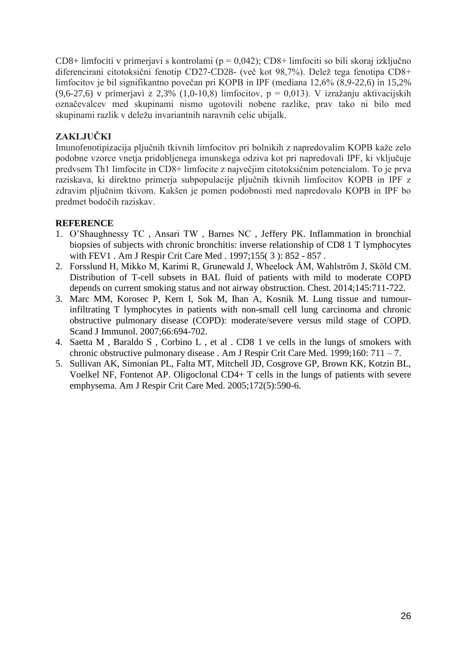CD8+ limfociti v primerjavi s kontrolami (p = 0,042); CD8+ limfociti so bili skoraj izključno diferencirani citotoksični fenotip CD27-CD28- (več kot 98,7%). Delež tega fenotipa CD8+ limfocitov je bil signifikantno povečan pri KOPB in IPF (mediana 12,6% (8,9-22,6) in 15,2% (9,6-27,6) v primerjavi z 2,3% (1,0-10,8) limfocitov,  $p = 0.013$ ). V izražanju aktivacijskih označevalcev med skupinami nismo ugotovili nobene razlike, prav tako ni bilo med skupinami razlik v deležu invariantnih naravnih celic ubijalk.

# **ZAKLJUČKI**

Imunofenotipizacija pljučnih tkivnih limfocitov pri bolnikih z napredovalim KOPB kaže zelo podobne vzorce vnetja pridobljenega imunskega odziva kot pri napredovali IPF, ki vključuje predvsem Th1 limfocite in CD8+ limfocite z največjim citotoksičnim potencialom. To je prva raziskava, ki direktno primerja subpopulacije pljučnih tkivnih limfocitov KOPB in IPF z zdravim pljučnim tkivom. Kakšen je pomen podobnosti med napredovalo KOPB in IPF bo predmet bodočih raziskav.

# **REFERENCE**

- 1. O'Shaughnessy TC , Ansari TW , Barnes NC , Jeffery PK. Inflammation in bronchial biopsies of subjects with chronic bronchitis: inverse relationship of CD8 1 T lymphocytes with FEV1 . Am J Respir Crit Care Med . 1997;155( 3 ): 852 - 857 .
- 2. Forsslund H, Mikko M, Karimi R, Grunewald J, Wheelock ÅM, Wahlström J, Sköld CM. Distribution of T-cell subsets in BAL fluid of patients with mild to moderate COPD depends on current smoking status and not airway obstruction. Chest. 2014;145:711-722.
- 3. Marc MM, Korosec P, Kern I, Sok M, Ihan A, Kosnik M. Lung tissue and tumourinfiltrating T lymphocytes in patients with non-small cell lung carcinoma and chronic obstructive pulmonary disease (COPD): moderate/severe versus mild stage of COPD. Scand J Immunol. 2007;66:694-702.
- 4. Saetta M , Baraldo S , Corbino L , et al . CD8 1 ve cells in the lungs of smokers with chronic obstructive pulmonary disease . Am J Respir Crit Care Med. 1999;160: 711 – 7.
- 5. Sullivan AK, Simonian PL, Falta MT, Mitchell JD, Cosgrove GP, Brown KK, Kotzin BL, Voelkel NF, Fontenot AP. Oligoclonal CD4+ T cells in the lungs of patients with severe emphysema. Am J Respir Crit Care Med. 2005;172(5):590-6.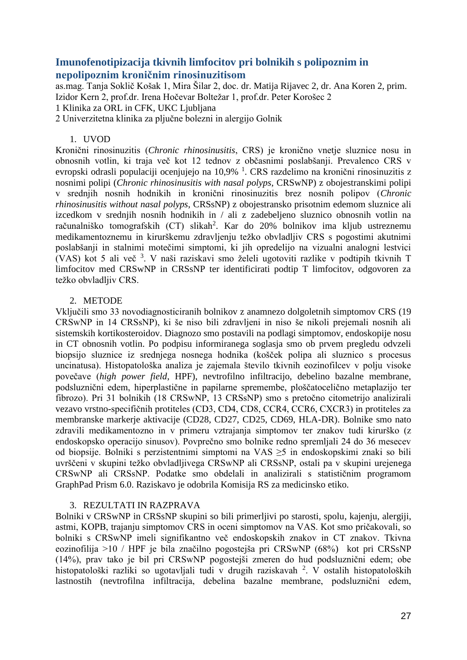# **Imunofenotipizacija tkivnih limfocitov pri bolnikih s polipoznim in nepolipoznim kroničnim rinosinuzitisom**

as.mag. Tanja Soklič Košak 1, Mira Šilar 2, doc. dr. Matija Rijavec 2, dr. Ana Koren 2, prim. Izidor Kern 2, prof.dr. Irena Hočevar Boltežar 1, prof.dr. Peter Korošec 2 1 Klinika za ORL in CFK, UKC Ljubljana

2 Univerzitetna klinika za pljučne bolezni in alergijo Golnik

#### 1. UVOD

Kronični rinosinuzitis (*Chronic rhinosinusitis*, CRS) je kronično vnetje sluznice nosu in obnosnih votlin, ki traja več kot 12 tednov z občasnimi poslabšanji. Prevalenco CRS v evropski odrasli populaciji ocenjujejo na 10,9%<sup>1</sup>. CRS razdelimo na kronični rinosinuzitis z nosnimi polipi (*Chronic rhinosinusitis with nasal polyps*, CRSwNP) z obojestranskimi polipi v srednjih nosnih hodnikih in kronični rinosinuzitis brez nosnih polipov (*Chronic rhinosinusitis without nasal polyps*, CRSsNP) z obojestransko prisotnim edemom sluznice ali izcedkom v srednjih nosnih hodnikih in / ali z zadebeljeno sluznico obnosnih votlin na računalniško tomografskih (CT) slikah<sup>2</sup>. Kar do 20% bolnikov ima kljub ustreznemu medikamentoznemu in kirurškemu zdravljenju težko obvladljiv CRS s pogostimi akutnimi poslabšanji in stalnimi motečimi simptomi, ki jih opredelijo na vizualni analogni lestvici (VAS) kot 5 ali več<sup>3</sup>. V naši raziskavi smo želeli ugotoviti razlike v podtipih tkivnih T limfocitov med CRSwNP in CRSsNP ter identificirati podtip T limfocitov, odgovoren za težko obvladljiv CRS.

#### 2. METODE

Vključili smo 33 novodiagnosticiranih bolnikov z anamnezo dolgoletnih simptomov CRS (19 CRSwNP in 14 CRSsNP), ki še niso bili zdravljeni in niso še nikoli prejemali nosnih ali sistemskih kortikosteroidov. Diagnozo smo postavili na podlagi simptomov, endoskopije nosu in CT obnosnih votlin. Po podpisu informiranega soglasja smo ob prvem pregledu odvzeli biopsijo sluznice iz srednjega nosnega hodnika (košček polipa ali sluznico s procesus uncinatusa). Histopatološka analiza je zajemala število tkivnih eozinofilcev v polju visoke povečave (*high power field*, HPF), nevtrofilno infiltracijo, debelino bazalne membrane, podsluznični edem, hiperplastične in papilarne spremembe, ploščatocelično metaplazijo ter fibrozo). Pri 31 bolnikih (18 CRSwNP, 13 CRSsNP) smo s pretočno citometrijo analizirali vezavo vrstno-specifičnih protiteles (CD3, CD4, CD8, CCR4, CCR6, CXCR3) in protiteles za membranske markerje aktivacije (CD28, CD27, CD25, CD69, HLA-DR). Bolnike smo nato zdravili medikamentozno in v primeru vztrajanja simptomov ter znakov tudi kirurško (z endoskopsko operacijo sinusov). Povprečno smo bolnike redno spremljali 24 do 36 mesecev od biopsije. Bolniki s perzistentnimi simptomi na VAS ≥5 in endoskopskimi znaki so bili uvrščeni v skupini težko obvladljivega CRSwNP ali CRSsNP, ostali pa v skupini urejenega CRSwNP ali CRSsNP. Podatke smo obdelali in analizirali s statističnim programom GraphPad Prism 6.0. Raziskavo je odobrila Komisija RS za medicinsko etiko.

#### 3. REZULTATI IN RAZPRAVA

Bolniki v CRSwNP in CRSsNP skupini so bili primerljivi po starosti, spolu, kajenju, alergiji, astmi, KOPB, trajanju simptomov CRS in oceni simptomov na VAS. Kot smo pričakovali, so bolniki s CRSwNP imeli signifikantno več endoskopskih znakov in CT znakov. Tkivna eozinofilija >10 / HPF je bila značilno pogostejša pri CRSwNP (68%) kot pri CRSsNP (14%), prav tako je bil pri CRSwNP pogostejši zmeren do hud podsluznični edem; obe histopatološki razliki so ugotavljali tudi v drugih raziskavah <sup>2</sup>. V ostalih histopatoloških lastnostih (nevtrofilna infiltracija, debelina bazalne membrane, podsluznični edem,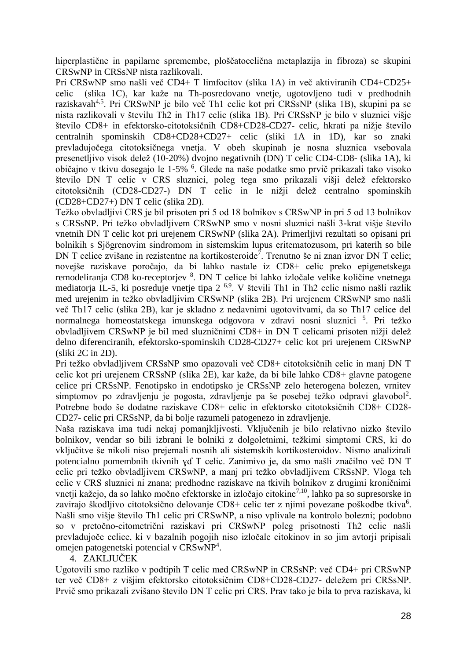hiperplastične in papilarne spremembe, ploščatocelična metaplazija in fibroza) se skupini CRSwNP in CRSsNP nista razlikovali.

Pri CRSwNP smo našli več CD4+ T limfocitov (slika 1A) in več aktiviranih CD4+CD25+ celic (slika 1C), kar kaže na Th-posredovano vnetje, ugotovljeno tudi v predhodnih raziskavah4,5. Pri CRSwNP je bilo več Th1 celic kot pri CRSsNP (slika 1B), skupini pa se nista razlikovali v številu Th2 in Th17 celic (slika 1B). Pri CRSsNP je bilo v sluznici višje število CD8+ in efektorsko-citotoksičnih CD8+CD28-CD27- celic, hkrati pa nižje število centralnih spominskih CD8+CD28+CD27+ celic (sliki 1A in 1D), kar so znaki prevladujočega citotoksičnega vnetja. V obeh skupinah je nosna sluznica vsebovala presenetljivo visok delež (10-20%) dvojno negativnih (DN) T celic CD4-CD8- (slika 1A), ki običajno v tkivu dosegajo le 1-5% <sup>6</sup> . Glede na naše podatke smo prvič prikazali tako visoko število DN T celic v CRS sluznici, poleg tega smo prikazali višji delež efektorsko citotoksičnih (CD28-CD27-) DN T celic in le nižji delež centralno spominskih (CD28+CD27+) DN T celic (slika 2D).

Težko obvladljivi CRS je bil prisoten pri 5 od 18 bolnikov s CRSwNP in pri 5 od 13 bolnikov s CRSsNP. Pri težko obvladljivem CRSwNP smo v nosni sluznici našli 3-krat višje število vnetnih DN T celic kot pri urejenem CRSwNP (slika 2A). Primerljivi rezultati so opisani pri bolnikih s Sjögrenovim sindromom in sistemskim lupus eritematozusom, pri katerih so bile DN T celice zvišane in rezistentne na kortikosteroide<sup>7</sup>. Trenutno še ni znan izvor DN T celic; novejše raziskave poročajo, da bi lahko nastale iz CD8+ celic preko epigenetskega remodeliranja CD8 ko-receptorjev <sup>8</sup>. DN T celice bi lahko izločale velike količine vnetnega mediatorja IL-5, ki posreduje vnetje tipa 2 6,9. V števili Th1 in Th2 celic nismo našli razlik med urejenim in težko obvladljivim CRSwNP (slika 2B). Pri urejenem CRSwNP smo našli več Th17 celic (slika 2B), kar je skladno z nedavnimi ugotovitvami, da so Th17 celice del normalnega homeostatskega imunskega odgovora v zdravi nosni sluznici <sup>5</sup> . Pri težko obvladljivem CRSwNP je bil med sluzničnimi CD8+ in DN T celicami prisoten nižji delež delno diferenciranih, efektorsko-spominskih CD28-CD27+ celic kot pri urejenem CRSwNP (sliki 2C in 2D).

Pri težko obvladljivem CRSsNP smo opazovali več CD8+ citotoksičnih celic in manj DN T celic kot pri urejenem CRSsNP (slika 2E), kar kaže, da bi bile lahko CD8+ glavne patogene celice pri CRSsNP. Fenotipsko in endotipsko je CRSsNP zelo heterogena bolezen, vrnitev simptomov po zdravljenju je pogosta, zdravljenje pa še posebej težko odpravi glavobol<sup>2</sup>. Potrebne bodo še dodatne raziskave CD8+ celic in efektorsko citotoksičnih CD8+ CD28- CD27- celic pri CRSsNP, da bi bolje razumeli patogenezo in zdravljenje.

Naša raziskava ima tudi nekaj pomanjkljivosti. Vključenih je bilo relativno nizko število bolnikov, vendar so bili izbrani le bolniki z dolgoletnimi, težkimi simptomi CRS, ki do vključitve še nikoli niso prejemali nosnih ali sistemskih kortikosteroidov. Nismo analizirali potencialno pomembnih tkivnih ɣɗ T celic. Zanimivo je, da smo našli značilno več DN T celic pri težko obvladljivem CRSwNP, a manj pri težko obvladljivem CRSsNP. Vloga teh celic v CRS sluznici ni znana; predhodne raziskave na tkivih bolnikov z drugimi kroničnimi vnetji kažejo, da so lahko močno efektorske in izločajo citokine<sup>7,10</sup>, lahko pa so supresorske in zavirajo škodljivo citotoksično delovanje CD8+ celic ter z njimi povezane poškodbe tkiva<sup>6</sup>. Našli smo višje število Th1 celic pri CRSwNP, a niso vplivale na kontrolo bolezni; podobno so v pretočno-citometrični raziskavi pri CRSwNP poleg prisotnosti Th2 celic našli prevladujoče celice, ki v bazalnih pogojih niso izločale citokinov in so jim avtorji pripisali omejen patogenetski potencial v CRSwNP<sup>4</sup>.

4. ZAKLJUČEK

Ugotovili smo razliko v podtipih T celic med CRSwNP in CRSsNP: več CD4+ pri CRSwNP ter več CD8+ z višjim efektorsko citotoksičnim CD8+CD28-CD27- deležem pri CRSsNP. Prvič smo prikazali zvišano število DN T celic pri CRS. Prav tako je bila to prva raziskava, ki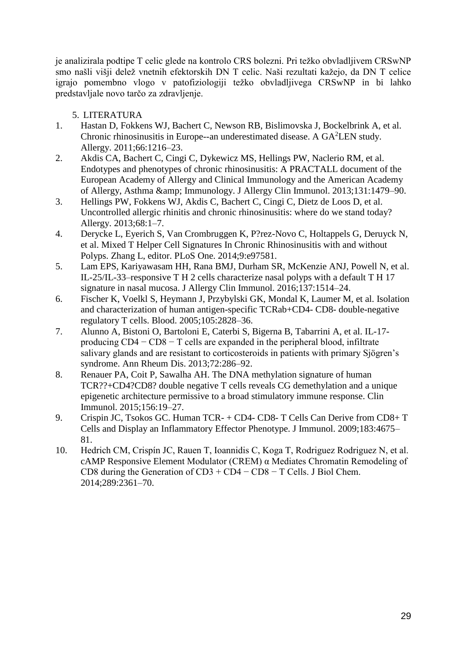je analizirala podtipe T celic glede na kontrolo CRS bolezni. Pri težko obvladljivem CRSwNP smo našli višji delež vnetnih efektorskih DN T celic. Naši rezultati kažejo, da DN T celice igrajo pomembno vlogo v patofiziologiji težko obvladljivega CRSwNP in bi lahko predstavljale novo tarčo za zdravljenje.

5. LITERATURA

- 1. Hastan D, Fokkens WJ, Bachert C, Newson RB, Bislimovska J, Bockelbrink A, et al. Chronic rhinosinusitis in Europe--an underestimated disease. A GA<sup>2</sup>LEN study. Allergy. 2011;66:1216–23.
- 2. Akdis CA, Bachert C, Cingi C, Dykewicz MS, Hellings PW, Naclerio RM, et al. Endotypes and phenotypes of chronic rhinosinusitis: A PRACTALL document of the European Academy of Allergy and Clinical Immunology and the American Academy of Allergy, Asthma & amp; Immunology. J Allergy Clin Immunol. 2013;131:1479–90.
- 3. Hellings PW, Fokkens WJ, Akdis C, Bachert C, Cingi C, Dietz de Loos D, et al. Uncontrolled allergic rhinitis and chronic rhinosinusitis: where do we stand today? Allergy. 2013;68:1–7.
- 4. Derycke L, Eyerich S, Van Crombruggen K, P?rez-Novo C, Holtappels G, Deruyck N, et al. Mixed T Helper Cell Signatures In Chronic Rhinosinusitis with and without Polyps. Zhang L, editor. PLoS One. 2014;9:e97581.
- 5. Lam EPS, Kariyawasam HH, Rana BMJ, Durham SR, McKenzie ANJ, Powell N, et al. IL-25/IL-33–responsive T H 2 cells characterize nasal polyps with a default T H 17 signature in nasal mucosa. J Allergy Clin Immunol. 2016;137:1514–24.
- 6. Fischer K, Voelkl S, Heymann J, Przybylski GK, Mondal K, Laumer M, et al. Isolation and characterization of human antigen-specific TCRab+CD4- CD8- double-negative regulatory T cells. Blood. 2005;105:2828–36.
- 7. Alunno A, Bistoni O, Bartoloni E, Caterbi S, Bigerna B, Tabarrini A, et al. IL-17 producing  $CD4 - CD8 - T$  cells are expanded in the peripheral blood, infiltrate salivary glands and are resistant to corticosteroids in patients with primary Sjögren's syndrome. Ann Rheum Dis. 2013;72:286–92.
- 8. Renauer PA, Coit P, Sawalha AH. The DNA methylation signature of human TCR??+CD4?CD8? double negative T cells reveals CG demethylation and a unique epigenetic architecture permissive to a broad stimulatory immune response. Clin Immunol. 2015;156:19–27.
- 9. Crispin JC, Tsokos GC. Human TCR- + CD4- CD8- T Cells Can Derive from CD8+ T Cells and Display an Inflammatory Effector Phenotype. J Immunol. 2009;183:4675– 81.
- 10. Hedrich CM, Crispín JC, Rauen T, Ioannidis C, Koga T, Rodriguez Rodriguez N, et al. cAMP Responsive Element Modulator (CREM) α Mediates Chromatin Remodeling of CD8 during the Generation of  $CD3 + CD4 - CD8 - T$  Cells. J Biol Chem. 2014;289:2361–70.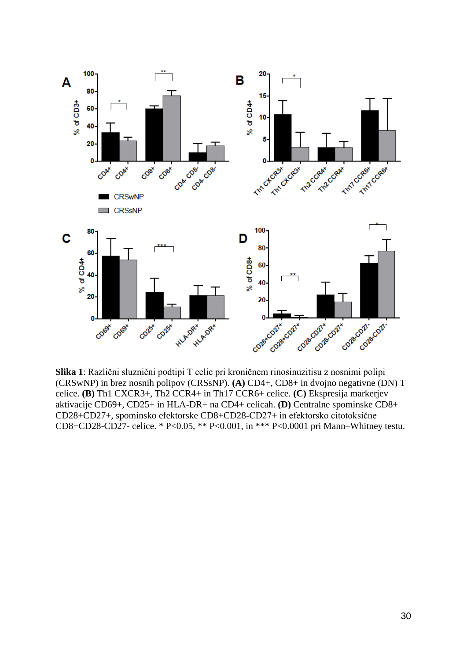

**Slika 1**: Različni sluznični podtipi T celic pri kroničnem rinosinuzitisu z nosnimi polipi (CRSwNP) in brez nosnih polipov (CRSsNP). **(A)** CD4+, CD8+ in dvojno negativne (DN) T celice. **(B)** Th1 CXCR3+, Th2 CCR4+ in Th17 CCR6+ celice. **(C)** Ekspresija markerjev aktivacije CD69+, CD25+ in HLA-DR+ na CD4+ celicah. **(D)** Centralne spominske CD8+ CD28+CD27+, spominsko efektorske CD8+CD28-CD27+ in efektorsko citotoksične CD8+CD28-CD27- celice. \* P<0.05, \*\* P<0.001, in \*\*\* P<0.0001 pri Mann–Whitney testu.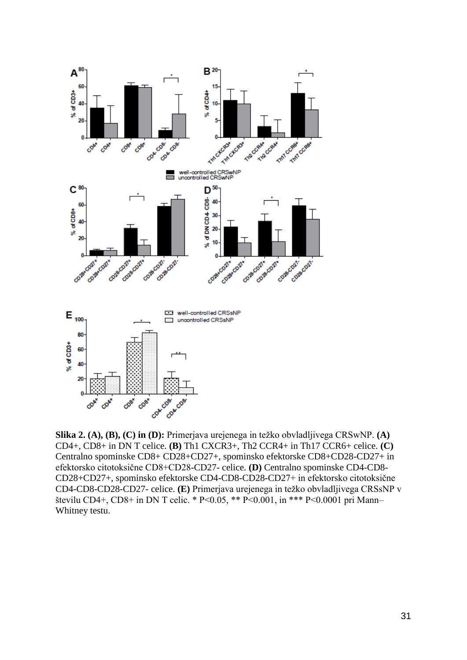

**Slika 2. (A), (B), (C) in (D):** Primerjava urejenega in težko obvladljivega CRSwNP. **(A)** CD4+, CD8+ in DN T celice. **(B)** Th1 CXCR3+, Th2 CCR4+ in Th17 CCR6+ celice. **(C)** Centralno spominske CD8+ CD28+CD27+, spominsko efektorske CD8+CD28-CD27+ in efektorsko citotoksične CD8+CD28-CD27- celice. **(D)** Centralno spominske CD4-CD8- CD28+CD27+, spominsko efektorske CD4-CD8-CD28-CD27+ in efektorsko citotoksične CD4-CD8-CD28-CD27- celice. **(E)** Primerjava urejenega in težko obvladljivega CRSsNP v številu CD4+, CD8+ in DN T celic. \* P<0.05, \*\* P<0.001, in \*\*\* P<0.0001 pri Mann– Whitney testu.